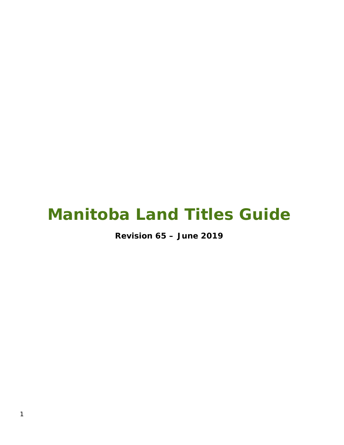# **Manitoba Land Titles Guide**

**Revision 65 – June 2019**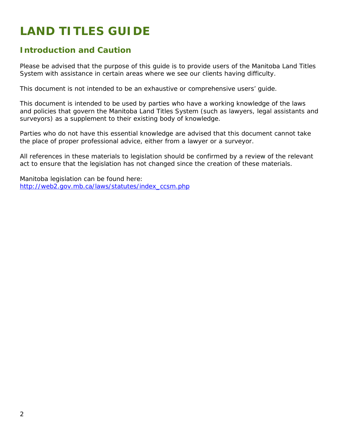## **LAND TITLES GUIDE**

## **Introduction and Caution**

Please be advised that the purpose of this guide is to provide users of the Manitoba Land Titles System with assistance in certain areas where we see our clients having difficulty.

This document is not intended to be an exhaustive or comprehensive users' guide.

This document is intended to be used by parties who have a working knowledge of the laws and policies that govern the Manitoba Land Titles System (such as lawyers, legal assistants and surveyors) as a supplement to their existing body of knowledge.

Parties who do not have this essential knowledge are advised that this document cannot take the place of proper professional advice, either from a lawyer or a surveyor.

All references in these materials to legislation should be confirmed by a review of the relevant act to ensure that the legislation has not changed since the creation of these materials.

Manitoba legislation can be found here: [http://web2.gov.mb.ca/laws/statutes/index\\_ccsm.php](http://web2.gov.mb.ca/laws/statutes/index_ccsm.php)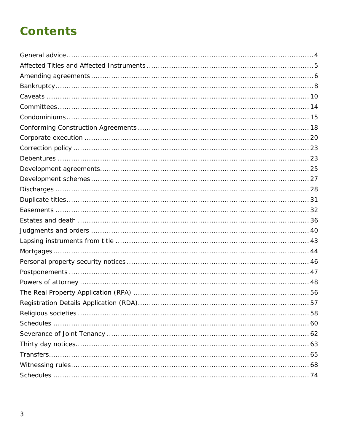## **Contents**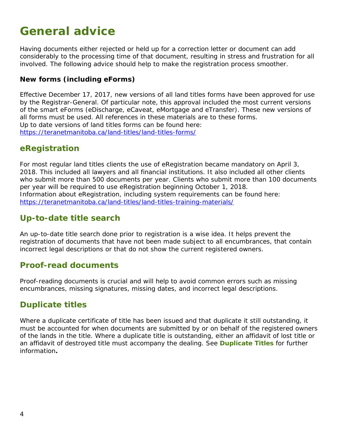## <span id="page-3-0"></span>**General advice**

Having documents either rejected or held up for a correction letter or document can add considerably to the processing time of that document, resulting in stress and frustration for all involved. The following advice should help to make the registration process smoother.

#### **New forms (including eForms)**

Effective December 17, 2017, new versions of all land titles forms have been approved for use by the Registrar-General. Of particular note, this approval included the most current versions of the smart eForms (eDischarge, eCaveat, eMortgage and eTransfer). These new versions of all forms must be used. All references in these materials are to these forms. Up to date versions of land titles forms can be found here: <https://teranetmanitoba.ca/land-titles/land-titles-forms/>

### **eRegistration**

For most regular land titles clients the use of eRegistration became mandatory on April 3, 2018. This included all lawyers and all financial institutions. It also included all other clients who submit more than 500 documents per year. Clients who submit more than 100 documents per year will be required to use eRegistration beginning October 1, 2018. Information about eRegistration, including system requirements can be found here: <https://teranetmanitoba.ca/land-titles/land-titles-training-materials/>

## **Up-to-date title search**

An up-to-date title search done prior to registration is a wise idea. It helps prevent the registration of documents that have not been made subject to all encumbrances, that contain incorrect legal descriptions or that do not show the current registered owners.

### **Proof-read documents**

Proof-reading documents is crucial and will help to avoid common errors such as missing encumbrances, missing signatures, missing dates, and incorrect legal descriptions.

### **Duplicate titles**

Where a duplicate certificate of title has been issued and that duplicate it still outstanding, it must be accounted for when documents are submitted by or on behalf of the registered owners of the lands in the title. Where a duplicate title is outstanding, either an affidavit of lost title or an affidavit of destroyed title must accompany the dealing. See **Duplicate Titles** for further information**.**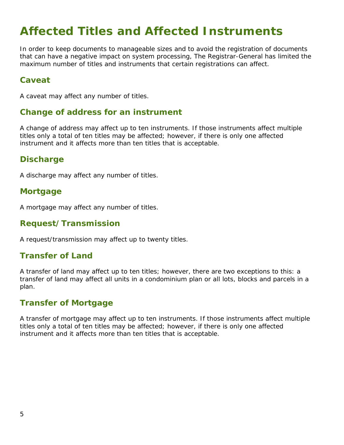## <span id="page-4-0"></span>**Affected Titles and Affected Instruments**

In order to keep documents to manageable sizes and to avoid the registration of documents that can have a negative impact on system processing, The Registrar-General has limited the maximum number of titles and instruments that certain registrations can affect.

### **Caveat**

A caveat may affect any number of titles.

#### **Change of address for an instrument**

A change of address may affect up to ten instruments. If those instruments affect multiple titles only a total of ten titles may be affected; however, if there is only one affected instrument and it affects more than ten titles that is acceptable.

#### **Discharge**

A discharge may affect any number of titles.

#### **Mortgage**

A mortgage may affect any number of titles.

#### **Request/Transmission**

A request/transmission may affect up to twenty titles.

### **Transfer of Land**

A transfer of land may affect up to ten titles; however, there are two exceptions to this: a transfer of land may affect all units in a condominium plan or all lots, blocks and parcels in a plan.

### **Transfer of Mortgage**

A transfer of mortgage may affect up to ten instruments. If those instruments affect multiple titles only a total of ten titles may be affected; however, if there is only one affected instrument and it affects more than ten titles that is acceptable.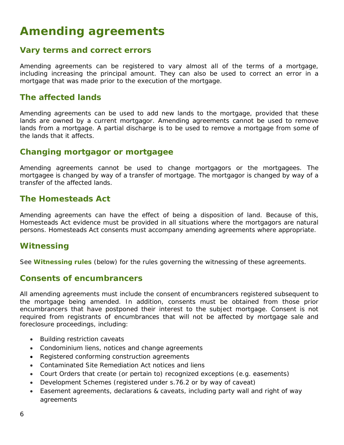## <span id="page-5-0"></span>**Amending agreements**

#### **Vary terms and correct errors**

Amending agreements can be registered to vary almost all of the terms of a mortgage, including increasing the principal amount. They can also be used to correct an error in a mortgage that was made prior to the execution of the mortgage.

#### **The affected lands**

Amending agreements can be used to add new lands to the mortgage, provided that these lands are owned by a current mortgagor. Amending agreements cannot be used to remove lands from a mortgage. A partial discharge is to be used to remove a mortgage from some of the lands that it affects.

#### **Changing mortgagor or mortgagee**

Amending agreements cannot be used to change mortgagors or the mortgagees. The mortgagee is changed by way of a transfer of mortgage. The mortgagor is changed by way of a transfer of the affected lands.

#### **The Homesteads Act**

Amending agreements can have the effect of being a disposition of land. Because of this, *Homesteads Act* evidence must be provided in all situations where the mortgagors are natural persons. *Homesteads Act* consents must accompany amending agreements where appropriate.

### **Witnessing**

See **Witnessing rules** (below) for the rules governing the witnessing of these agreements.

#### **Consents of encumbrancers**

All amending agreements must include the consent of encumbrancers registered subsequent to the mortgage being amended. In addition, consents must be obtained from those prior encumbrancers that have postponed their interest to the subject mortgage. Consent is not required from registrants of encumbrances that will not be affected by mortgage sale and foreclosure proceedings, including:

- Building restriction caveats
- Condominium liens, notices and change agreements
- Registered conforming construction agreements
- Contaminated Site Remediation Act notices and liens
- Court Orders that create (or pertain to) recognized exceptions (e.g. easements)
- Development Schemes (registered under s.76.2 or by way of caveat)
- Easement agreements, declarations & caveats, including party wall and right of way agreements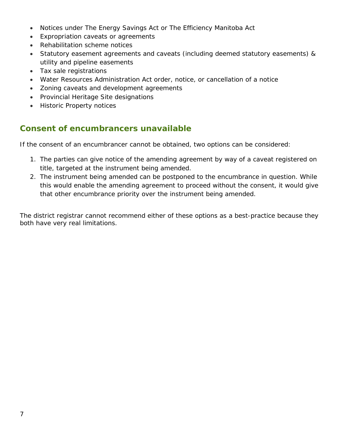- Notices under The Energy Savings Act or The Efficiency Manitoba Act
- Expropriation caveats or agreements
- Rehabilitation scheme notices
- Statutory easement agreements and caveats (including deemed statutory easements) & utility and pipeline easements
- Tax sale registrations
- *Water Resources Administration Act* order, notice, or cancellation of a notice
- Zoning caveats and development agreements
- Provincial Heritage Site designations
- Historic Property notices

## **Consent of encumbrancers unavailable**

If the consent of an encumbrancer cannot be obtained, two options can be considered:

- 1. The parties can give notice of the amending agreement by way of a caveat registered on title, targeted at the instrument being amended.
- 2. The instrument being amended can be postponed to the encumbrance in question. While this would enable the amending agreement to proceed without the consent, it would give that other encumbrance priority over the instrument being amended.

The district registrar cannot recommend either of these options as a best-practice because they both have very real limitations.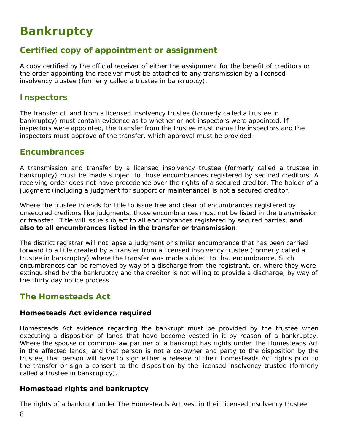## <span id="page-7-0"></span>**Bankruptcy**

## **Certified copy of appointment or assignment**

A copy certified by the official receiver of either the assignment for the benefit of creditors or the order appointing the receiver must be attached to any transmission by a licensed insolvency trustee (formerly called a trustee in bankruptcy).

### **Inspectors**

The transfer of land from a licensed insolvency trustee (formerly called a trustee in bankruptcy) must contain evidence as to whether or not inspectors were appointed. If inspectors were appointed, the transfer from the trustee must name the inspectors and the inspectors must approve of the transfer, which approval must be provided.

#### **Encumbrances**

A transmission and transfer by a licensed insolvency trustee (formerly called a trustee in bankruptcy) must be made subject to those encumbrances registered by secured creditors. A receiving order does not have precedence over the rights of a secured creditor. The holder of a judgment (including a judgment for support or maintenance) is not a secured creditor.

Where the trustee intends for title to issue free and clear of encumbrances registered by unsecured creditors like judgments, those encumbrances must not be listed in the transmission or transfer. Title will issue subject to all encumbrances registered by secured parties, **and also to all encumbrances listed in the transfer or transmission**.

The district registrar will not lapse a judgment or similar encumbrance that has been carried forward to a title created by a transfer from a licensed insolvency trustee (formerly called a trustee in bankruptcy) where the transfer was made subject to that encumbrance. Such encumbrances can be removed by way of a discharge from the registrant, or, where they were extinguished by the bankruptcy and the creditor is not willing to provide a discharge, by way of the thirty day notice process.

### **The Homesteads Act**

#### **Homesteads Act evidence required**

*Homesteads Act* evidence regarding the bankrupt must be provided by the trustee when executing a disposition of lands that have become vested in it by reason of a bankruptcy. Where the spouse or common-law partner of a bankrupt has rights under *The Homesteads Act*  in the affected lands, and that person is not a co-owner and party to the disposition by the trustee, that person will have to sign either a release of their *Homesteads Act* rights prior to the transfer or sign a consent to the disposition by the licensed insolvency trustee (formerly called a trustee in bankruptcy).

#### **Homestead rights and bankruptcy**

The rights of a bankrupt under *The Homesteads Act* vest in their licensed insolvency trustee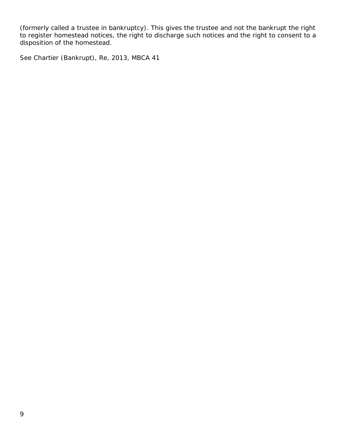(formerly called a trustee in bankruptcy). This gives the trustee and not the bankrupt the right to register homestead notices, the right to discharge such notices and the right to consent to a disposition of the homestead.

See Chartier (Bankrupt), Re, 2013, MBCA 41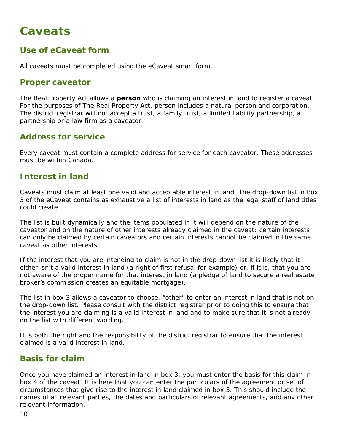## <span id="page-9-0"></span>**Caveats**

## **Use of eCaveat form**

All caveats must be completed using the eCaveat smart form.

#### **Proper caveator**

*The Real Property Act* allows a **person** who is claiming an interest in land to register a caveat. For the purposes of *The Real Property Act*, person includes a natural person and corporation. The district registrar will not accept a trust, a family trust, a limited liability partnership, a partnership or a law firm as a caveator.

### **Address for service**

Every caveat must contain a complete address for service for each caveator. These addresses must be within Canada.

### **Interest in land**

Caveats must claim at least one valid and acceptable interest in land. The drop-down list in box 3 of the eCaveat contains as exhaustive a list of interests in land as the legal staff of land titles could create.

The list is built dynamically and the items populated in it will depend on the nature of the caveator and on the nature of other interests already claimed in the caveat; certain interests can only be claimed by certain caveators and certain interests cannot be claimed in the same caveat as other interests.

If the interest that you are intending to claim is not in the drop-down list it is likely that it either isn't a valid interest in land (a right of first refusal for example) or, if it is, that you are not aware of the proper name for that interest in land (a pledge of land to secure a real estate broker's commission creates an equitable mortgage).

The list in box 3 allows a caveator to choose, "other" to enter an interest in land that is not on the drop-down list. Please consult with the district registrar prior to doing this to ensure that the interest you are claiming is a valid interest in land and to make sure that it is not already on the list with different wording.

It is both the right and the responsibility of the district registrar to ensure that the interest claimed is a valid interest in land.

### **Basis for claim**

Once you have claimed an interest in land in box 3, you must enter the basis for this claim in box 4 of the caveat. It is here that you can enter the particulars of the agreement or set of circumstances that give rise to the interest in land claimed in box 3. This should include the names of all relevant parties, the dates and particulars of relevant agreements, and any other relevant information.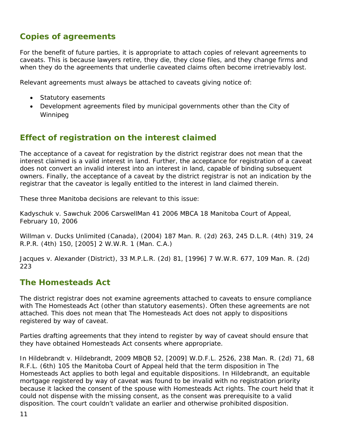## **Copies of agreements**

For the benefit of future parties, it is appropriate to attach copies of relevant agreements to caveats. This is because lawyers retire, they die, they close files, and they change firms and when they do the agreements that underlie caveated claims often become irretrievably lost.

Relevant agreements must always be attached to caveats giving notice of:

- Statutory easements
- Development agreements filed by municipal governments other than the City of Winnipeg

### **Effect of registration on the interest claimed**

The acceptance of a caveat for registration by the district registrar does not mean that the interest claimed is a valid interest in land. Further, the acceptance for registration of a caveat does not convert an invalid interest into an interest in land, capable of binding subsequent owners. Finally, the acceptance of a caveat by the district registrar is not an indication by the registrar that the caveator is legally entitled to the interest in land claimed therein.

These three Manitoba decisions are relevant to this issue:

*Kadyschuk* v. *Sawchuk* 2006 CarswellMan 41 2006 MBCA 18 Manitoba Court of Appeal, February 10, 2006

*Willman* v. *Ducks Unlimited (Canada)*, (2004) 187 Man. R. (2d) 263, 245 D.L.R. (4th) 319, 24 R.P.R. (4th) 150, [2005] 2 W.W.R. 1 (Man. C.A.)

*Jacques* v. *Alexander (District)*, 33 M.P.L.R. (2d) 81, [1996] 7 W.W.R. 677, 109 Man. R. (2d) 223

### **The Homesteads Act**

The district registrar does not examine agreements attached to caveats to ensure compliance with *The Homesteads Act* (other than *statutory easements*). Often these agreements are not attached. This does not mean that *The Homesteads Act* does not apply to dispositions registered by way of caveat.

Parties drafting agreements that they intend to register by way of caveat should ensure that they have obtained *Homesteads Act* consents where appropriate.

In *Hildebrandt* v. *Hildebrandt*, 2009 MBQB 52, [2009] W.D.F.L. 2526, 238 Man. R. (2d) 71, 68 R.F.L. (6th) 105 the Manitoba Court of Appeal held that the term *disposition* in *The Homesteads Act* applies to both legal and equitable dispositions. In *Hildebrandt*, an equitable mortgage registered by way of caveat was found to be invalid with no registration priority because it lacked the consent of the spouse with *Homesteads Act* rights. The court held that it could not dispense with the missing consent, as the consent was prerequisite to a valid disposition. The court couldn't validate an earlier and otherwise prohibited disposition.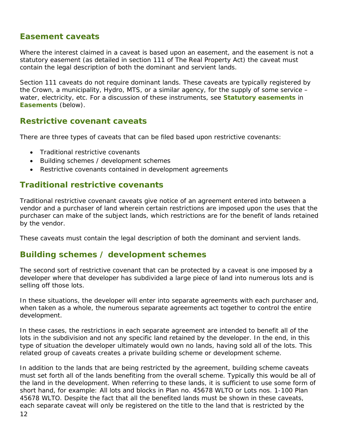### **Easement caveats**

Where the interest claimed in a caveat is based upon an easement, and the easement is not a statutory easement (as detailed in section 111 of *The Real Property Act*) the caveat must contain the legal description of both the dominant and servient lands.

Section 111 caveats do not require dominant lands. These caveats are typically registered by the Crown, a municipality, Hydro, MTS, or a similar agency, for the supply of some service – water, electricity, etc. For a discussion of these instruments, see **Statutory easements** in **Easements** (below).

#### **Restrictive covenant caveats**

There are three types of caveats that can be filed based upon restrictive covenants:

- Traditional restrictive covenants
- Building schemes / development schemes
- Restrictive covenants contained in development agreements

### **Traditional restrictive covenants**

Traditional restrictive covenant caveats give notice of an agreement entered into between a vendor and a purchaser of land wherein certain restrictions are imposed upon the uses that the purchaser can make of the subject lands, which restrictions are for the benefit of lands retained by the vendor.

These caveats must contain the legal description of both the dominant and servient lands.

### **Building schemes / development schemes**

The second sort of restrictive covenant that can be protected by a caveat is one imposed by a developer where that developer has subdivided a large piece of land into numerous lots and is selling off those lots.

In these situations, the developer will enter into separate agreements with each purchaser and, when taken as a whole, the numerous separate agreements act together to control the entire development.

In these cases, the restrictions in each separate agreement are intended to benefit all of the lots in the subdivision and not any specific land retained by the developer. In the end, in this type of situation the developer ultimately would own no lands, having sold all of the lots. This related group of caveats creates a private building scheme or development scheme.

12 In addition to the lands that are being restricted by the agreement, building scheme caveats must set forth all of the lands benefiting from the overall scheme. Typically this would be all of the land in the development. When referring to these lands, it is sufficient to use some form of short hand, for example: All lots and blocks in Plan no. 45678 WLTO or Lots nos. 1-100 Plan 45678 WLTO. Despite the fact that all the benefited lands must be shown in these caveats, each separate caveat will only be registered on the title to the land that is restricted by the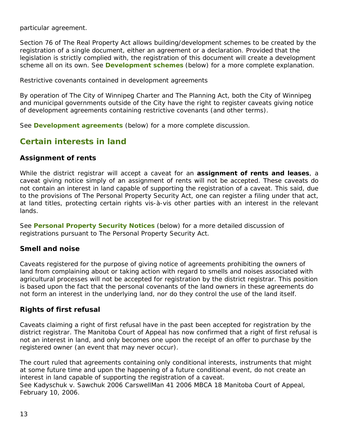particular agreement.

Section 76 of *The Real Property Act* allows building/development schemes to be created by the registration of a single document, either an agreement or a declaration. Provided that the legislation is strictly complied with, the registration of this document will create a development scheme all on its own. See **Development schemes** (below) for a more complete explanation.

Restrictive covenants contained in development agreements

By operation of *The City of Winnipeg Charter* and *The Planning Act*, both the City of Winnipeg and municipal governments outside of the City have the right to register caveats giving notice of development agreements containing restrictive covenants (and other terms).

See **Development agreements** (below) for a more complete discussion.

## **Certain interests in land**

#### **Assignment of rents**

While the district registrar will accept a caveat for an **assignment of rents and leases**, a caveat giving notice simply of an assignment of rents will not be accepted. These caveats do not contain an interest in land capable of supporting the registration of a caveat. This said, due to the provisions of *The Personal Property Security Act*, one can register a filing under that act, at land titles, protecting certain rights vis-à-vis other parties with an interest in the relevant lands.

See **Personal Property Security Notices** (below) for a more detailed discussion of registrations pursuant to *The Personal Property Security Act*.

#### **Smell and noise**

Caveats registered for the purpose of giving notice of agreements prohibiting the owners of land from complaining about or taking action with regard to smells and noises associated with agricultural processes will not be accepted for registration by the district registrar. This position is based upon the fact that the personal covenants of the land owners in these agreements do not form an interest in the underlying land, nor do they control the use of the land itself.

#### **Rights of first refusal**

Caveats claiming a right of first refusal have in the past been accepted for registration by the district registrar. The Manitoba Court of Appeal has now confirmed that a right of first refusal is not an interest in land, and only becomes one upon the receipt of an offer to purchase by the registered owner (an event that may never occur).

The court ruled that agreements containing only conditional interests, instruments that might at some future time and upon the happening of a future conditional event, do not create an interest in land capable of supporting the registration of a caveat.

See Kadyschuk v. Sawchuk 2006 CarswellMan 41 2006 MBCA 18 Manitoba Court of Appeal, February 10, 2006.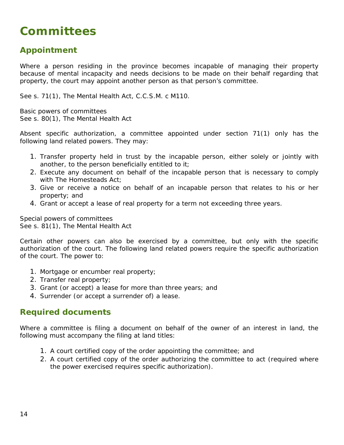## <span id="page-13-0"></span>**Committees**

## **Appointment**

Where a person residing in the province becomes incapable of managing their property because of mental incapacity and needs decisions to be made on their behalf regarding that property, the court may appoint another person as that person's committee.

See s. 71(1), *The Mental Health Act*, C.C.S.M. c M110.

Basic powers of committees See s. 80(1), The Mental Health Act

Absent specific authorization, a committee appointed under section 71(1) only has the following land related powers. They may:

- 1. Transfer property held in trust by the incapable person, either solely or jointly with another, to the person beneficially entitled to it;
- 2. Execute any document on behalf of the incapable person that is necessary to comply with *The Homesteads Act*;
- 3. Give or receive a notice on behalf of an incapable person that relates to his or her property; and
- 4. Grant or accept a lease of real property for a term not exceeding three years.

Special powers of committees See s. 81(1), *The Mental Health Act*

Certain other powers can also be exercised by a committee, but only with the specific authorization of the court. The following land related powers require the specific authorization of the court. The power to:

- 1. Mortgage or encumber real property;
- 2. Transfer real property;
- 3. Grant (or accept) a lease for more than three years; and
- 4. Surrender (or accept a surrender of) a lease.

#### **Required documents**

Where a committee is filing a document on behalf of the owner of an interest in land, the following must accompany the filing at land titles:

- 1. A court certified copy of the order appointing the committee; and
- 2. A court certified copy of the order authorizing the committee to act (required where the power exercised requires specific authorization).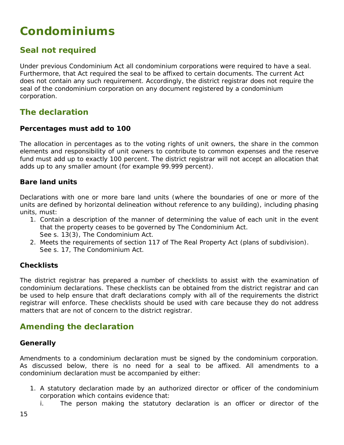## <span id="page-14-0"></span>**Condominiums**

## **Seal not required**

Under previous *Condominium Act* all condominium corporations were required to have a seal. Furthermore, that Act required the seal to be affixed to certain documents. The current Act does not contain any such requirement. Accordingly, the district registrar does not require the seal of the condominium corporation on any document registered by a condominium corporation.

### **The declaration**

#### **Percentages must add to 100**

The allocation in percentages as to the voting rights of unit owners, the share in the common elements and responsibility of unit owners to contribute to common expenses and the reserve fund must add up to exactly 100 percent. The district registrar will not accept an allocation that adds up to any smaller amount (for example 99.999 percent).

#### **Bare land units**

Declarations with one or more bare land units (where the boundaries of one or more of the units are defined by horizontal delineation without reference to any building), including phasing units, must:

- 1. Contain a description of the manner of determining the value of each unit in the event that the property ceases to be governed by *The Condominium Act*. See s. 13(3), *The Condominium Act*.
- 2. Meets the requirements of section 117 of *The Real Property Act* (plans of subdivision). See s. 17, *The Condominium Act*.

#### **Checklists**

The district registrar has prepared a number of checklists to assist with the examination of condominium declarations. These checklists can be obtained from the district registrar and can be used to help ensure that draft declarations comply with all of the requirements the district registrar will enforce. These checklists should be used with care because they do not address matters that are not of concern to the district registrar.

### **Amending the declaration**

#### **Generally**

Amendments to a condominium declaration must be signed by the condominium corporation. As discussed below, there is no need for a seal to be affixed. All amendments to a condominium declaration must be accompanied by either:

- 1. A statutory declaration made by an authorized director or officer of the condominium corporation which contains evidence that:
	- i. The person making the statutory declaration is an officer or director of the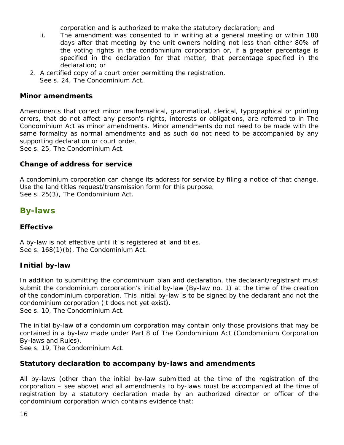corporation and is authorized to make the statutory declaration; and

- ii. The amendment was consented to in writing at a general meeting or within 180 days after that meeting by the unit owners holding not less than either 80% of the voting rights in the condominium corporation or, if a greater percentage is specified in the declaration for that matter, that percentage specified in the declaration; or
- 2. A certified copy of a court order permitting the registration. See s. 24, *The Condominium Act*.

#### **Minor amendments**

Amendments that correct minor mathematical, grammatical, clerical, typographical or printing errors, that do not affect any person's rights, interests or obligations, are referred to in *The Condominium Act* as minor amendments. Minor amendments do not need to be made with the same formality as normal amendments and as such do not need to be accompanied by any supporting declaration or court order.

See s. 25, *The Condominium Act*.

#### **Change of address for service**

A condominium corporation can change its address for service by filing a notice of that change. Use the land titles request/transmission form for this purpose. See s. 25(3), *The Condominium Act*.

## **By-laws**

#### **Effective**

A by-law is not effective until it is registered at land titles. See s. 168(1)(b), *The Condominium Act*.

#### **Initial by-law**

In addition to submitting the condominium plan and declaration, the declarant/registrant must submit the condominium corporation's initial by-law (By-law no. 1) at the time of the creation of the condominium corporation. This initial by-law is to be signed by the declarant and not the condominium corporation (it does not yet exist).

See s. 10, *The Condominium Act*.

The initial by-law of a condominium corporation may contain only those provisions that may be contained in a by-law made under Part 8 of *The Condominium Act* (Condominium Corporation By-laws and Rules).

See s. 19, *The Condominium Act*.

#### **Statutory declaration to accompany by-laws and amendments**

All by-laws (other than the initial by-law submitted at the time of the registration of the corporation – see above) and all amendments to by-laws must be accompanied at the time of registration by a statutory declaration made by an authorized director or officer of the condominium corporation which contains evidence that: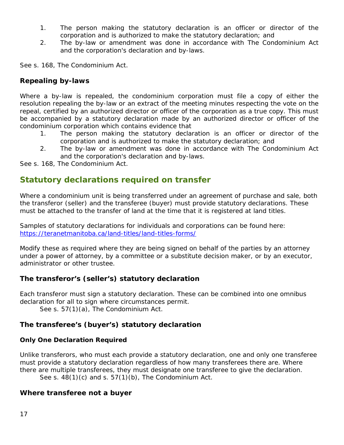- 1. The person making the statutory declaration is an officer or director of the corporation and is authorized to make the statutory declaration; and
- 2. The by-law or amendment was done in accordance with *The Condominium Act* and the corporation's declaration and by-laws.

See s. 168, *The Condominium Act*.

#### **Repealing by-laws**

Where a by-law is repealed, the condominium corporation must file a copy of either the resolution repealing the by-law or an extract of the meeting minutes respecting the vote on the repeal, certified by an authorized director or officer of the corporation as a true copy. This must be accompanied by a statutory declaration made by an authorized director or officer of the condominium corporation which contains evidence that

- 1. The person making the statutory declaration is an officer or director of the corporation and is authorized to make the statutory declaration; and
- 2. The by-law or amendment was done in accordance with *The Condominium Act* and the corporation's declaration and by-laws.

See s. 168, *The Condominium Act*.

### **Statutory declarations required on transfer**

Where a condominium unit is being transferred under an agreement of purchase and sale, both the transferor (seller) and the transferee (buyer) must provide statutory declarations. These must be attached to the transfer of land at the time that it is registered at land titles.

Samples of statutory declarations for individuals and corporations can be found here: <https://teranetmanitoba.ca/land-titles/land-titles-forms/>

Modify these as required where they are being signed on behalf of the parties by an attorney under a power of attorney, by a committee or a substitute decision maker, or by an executor, administrator or other trustee.

#### **The transferor's (seller's) statutory declaration**

Each transferor must sign a statutory declaration. These can be combined into one omnibus declaration for all to sign where circumstances permit.

See s. 57(1)(a), *The Condominium Act*.

#### **The transferee's (buyer's) statutory declaration**

#### **Only One Declaration Required**

Unlike transferors, who must each provide a statutory declaration, one and only one transferee must provide a statutory declaration regardless of how many transferees there are. Where there are multiple transferees, they must designate one transferee to give the declaration.

See s. 48(1)(c) and s. 57(1)(b), *The Condominium Act*.

#### **Where transferee not a buyer**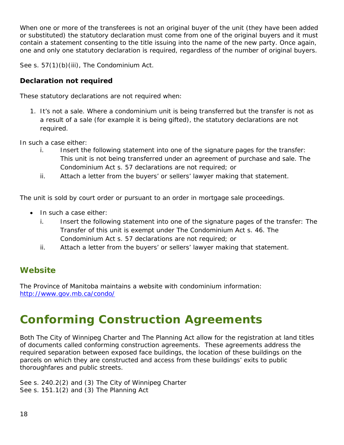When one or more of the transferees is not an original buyer of the unit (they have been added or substituted) the statutory declaration must come from one of the original buyers and it must contain a statement consenting to the title issuing into the name of the new party. Once again, one and only one statutory declaration is required, regardless of the number of original buyers.

See s. 57(1)(b)(iii), *The Condominium Act*.

#### **Declaration not required**

These statutory declarations are not required when:

1. It's not a sale. Where a condominium unit is being transferred but the transfer is not as a result of a sale (for example it is being gifted), the statutory declarations are not required.

In such a case either:

- i. Insert the following statement into one of the signature pages for the transfer: This unit is not being transferred under an agreement of purchase and sale. *The Condominium Act* s. 57 declarations are not required; or
- ii. Attach a letter from the buyers' or sellers' lawyer making that statement.

The unit is sold by court order or pursuant to an order in mortgage sale proceedings.

- In such a case either:
	- i. Insert the following statement into one of the signature pages of the transfer: The Transfer of this unit is exempt under *The Condominium Act* s. 46. *The Condominium Act* s. 57 declarations are not required; or
	- ii. Attach a letter from the buyers' or sellers' lawyer making that statement.

## **Website**

The Province of Manitoba maintains a website with condominium information: <http://www.gov.mb.ca/condo/>

## <span id="page-17-0"></span>**Conforming Construction Agreements**

Both *The City of Winnipeg Charter* and *The Planning Act* allow for the registration at land titles of documents called conforming construction agreements. These agreements address the required separation between exposed face buildings, the location of these buildings on the parcels on which they are constructed and access from these buildings' exits to public thoroughfares and public streets.

See s. 240.2(2) and (3) The City of Winnipeg Charter See s. 151.1(2) and (3) *The Planning Act*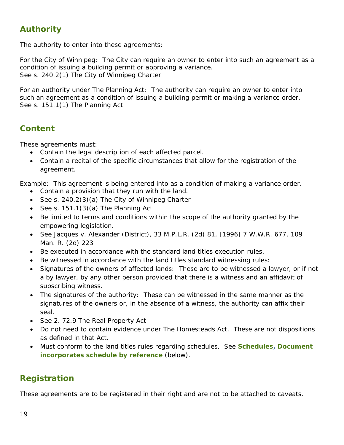## **Authority**

The authority to enter into these agreements:

For the City of Winnipeg: The City can require an owner to enter into such an agreement as a condition of issuing a building permit or approving a variance. See s. 240.2(1) The City of Winnipeg Charter

For an authority under The Planning Act: The authority can require an owner to enter into such an agreement as a condition of issuing a building permit or making a variance order. See s. 151.1(1) *The Planning Act*

## **Content**

These agreements must:

- Contain the legal description of each affected parcel.
- Contain a recital of the specific circumstances that allow for the registration of the agreement.

Example: This agreement is being entered into as a condition of making a variance order.

- Contain a provision that they run with the land.
- See s. 240.2(3)(a) The City of Winnipeg Charter
- See s. 151.1(3)(a) *The Planning Act*
- Be limited to terms and conditions within the scope of the authority granted by the empowering legislation.
- See *Jacques* v. *Alexander (District),* 33 M.P.L.R. (2d) 81, [1996] 7 W.W.R. 677, 109 Man. R. (2d) 223
- Be executed in accordance with the standard land titles execution rules.
- Be witnessed in accordance with the land titles standard witnessing rules:
- Signatures of the owners of affected lands: These are to be witnessed a lawyer, or if not a by lawyer, by any other person provided that there is a witness and an affidavit of subscribing witness.
- The signatures of the authority: These can be witnessed in the same manner as the signatures of the owners or, in the absence of a witness, the authority can affix their seal.
- See 2. 72.9 *The Real Property Act*
- Do not need to contain evidence under *The Homesteads Act*. These are not dispositions as defined in that Act.
- Must conform to the land titles rules regarding schedules. See **Schedules, Document incorporates schedule by reference** (below).

## **Registration**

These agreements are to be registered in their right and are not to be attached to caveats.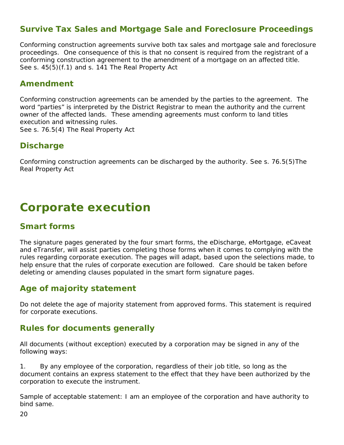## **Survive Tax Sales and Mortgage Sale and Foreclosure Proceedings**

Conforming construction agreements survive both tax sales and mortgage sale and foreclosure proceedings. One consequence of this is that no consent is required from the registrant of a conforming construction agreement to the amendment of a mortgage on an affected title. See s. 45(5)(f.1) and s. 141 *The Real Property Act*

#### **Amendment**

Conforming construction agreements can be amended by the parties to the agreement. The word "parties" is interpreted by the District Registrar to mean the authority and the *current* owner of the affected lands. These amending agreements must conform to land titles execution and witnessing rules. See s. 76.5(4) *The Real Property Act*

#### **Discharge**

Conforming construction agreements can be discharged by the authority. See s. 76.5(5)*The Real Property Act*

## <span id="page-19-0"></span>**Corporate execution**

## **Smart forms**

The signature pages generated by the four smart forms, the eDischarge, eMortgage, eCaveat and eTransfer, will assist parties completing those forms when it comes to complying with the rules regarding corporate execution. The pages will adapt, based upon the selections made, to help ensure that the rules of corporate execution are followed. Care should be taken before deleting or amending clauses populated in the smart form signature pages.

### **Age of majority statement**

Do not delete the age of majority statement from approved forms. This statement is required for corporate executions.

### **Rules for documents generally**

All documents (without exception) executed by a corporation may be signed in any of the following ways:

1. By any employee of the corporation, regardless of their job title, so long as the document contains an express statement to the effect that they have been authorized by the corporation to execute the instrument.

Sample of acceptable statement: I am an employee of the corporation and have authority to bind same.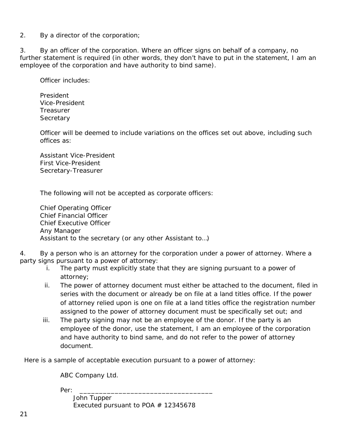2. By a director of the corporation;

3. By an officer of the corporation. Where an officer signs on behalf of a company, no further statement is required (in other words, they don't have to put in the statement, *I am an employee of the corporation and have authority to bind same*).

Officer includes:

President Vice-President **Treasurer Secretary** 

Officer will be deemed to include variations on the offices set out above, including such offices as:

Assistant Vice-President First Vice-President Secretary-Treasurer

The following will not be accepted as corporate officers:

Chief Operating Officer Chief Financial Officer Chief Executive Officer Any Manager Assistant to the secretary (or any other Assistant to…)

4. By a person who is an attorney for the corporation under a power of attorney. Where a party signs pursuant to a power of attorney:

- i. The party must explicitly state that they are signing pursuant to a power of attorney;
- ii. The power of attorney document must either be attached to the document, filed in series with the document or already be on file at a land titles office. If the power of attorney relied upon is one on file at a land titles office the registration number assigned to the power of attorney document must be specifically set out; and
- iii. The party signing may not be an employee of the donor. If the party is an employee of the donor, use the statement, *I am an employee of the corporation and have authority to bind same*, and do not refer to the power of attorney document.

Here is a sample of acceptable execution pursuant to a power of attorney:

ABC Company Ltd.

Per: \_\_\_\_\_\_\_\_\_\_\_\_\_\_\_\_\_\_\_\_\_\_\_\_\_\_\_\_\_\_\_\_\_\_

 John Tupper Executed pursuant to POA  $#$  12345678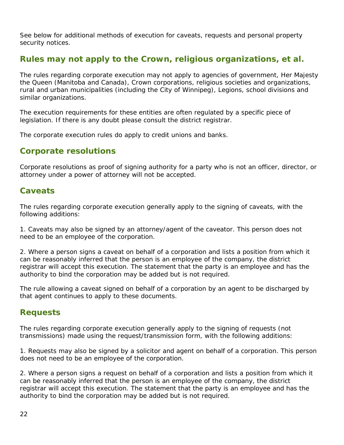See below for additional methods of execution for caveats, requests and personal property security notices.

## **Rules may not apply to the Crown, religious organizations, et al.**

The rules regarding corporate execution may not apply to agencies of government, Her Majesty the Queen (Manitoba and Canada), Crown corporations, religious societies and organizations, rural and urban municipalities (including the City of Winnipeg), Legions, school divisions and similar organizations.

The execution requirements for these entities are often regulated by a specific piece of legislation. If there is any doubt please consult the district registrar.

The corporate execution rules *do* apply to credit unions and banks.

### **Corporate resolutions**

Corporate resolutions as proof of signing authority for a party who is not an officer, director, or attorney under a power of attorney will not be accepted.

### **Caveats**

The rules regarding corporate execution generally apply to the signing of caveats, with the following additions:

1. Caveats may also be signed by an attorney/agent of the caveator. This person does not need to be an employee of the corporation.

2. Where a person signs a caveat on behalf of a corporation and lists a position from which it can be reasonably inferred that the person is an employee of the company, the district registrar will accept this execution. The statement that the party is an employee and has the authority to bind the corporation may be added but is not required.

The rule allowing a caveat signed on behalf of a corporation by an agent to be discharged by that agent continues to apply to these documents.

## **Requests**

The rules regarding corporate execution generally apply to the signing of requests (not transmissions) made using the request/transmission form, with the following additions:

1. Requests may also be signed by a solicitor and agent on behalf of a corporation. This person does not need to be an employee of the corporation.

2. Where a person signs a request on behalf of a corporation and lists a position from which it can be reasonably inferred that the person is an employee of the company, the district registrar will accept this execution. The statement that the party is an employee and has the authority to bind the corporation may be added but is not required.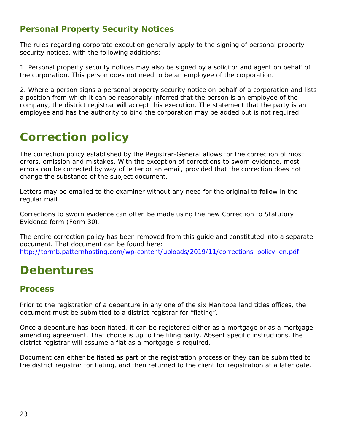## **Personal Property Security Notices**

The rules regarding corporate execution generally apply to the signing of personal property security notices, with the following additions:

1. Personal property security notices may also be signed by a solicitor and agent on behalf of the corporation. This person does not need to be an employee of the corporation.

2. Where a person signs a personal property security notice on behalf of a corporation and lists a position from which it can be reasonably inferred that the person is an employee of the company, the district registrar will accept this execution. The statement that the party is an employee and has the authority to bind the corporation may be added but is not required.

## <span id="page-22-0"></span>**Correction policy**

The correction policy established by the Registrar-General allows for the correction of most errors, omission and mistakes. With the exception of corrections to sworn evidence, most errors can be corrected by way of letter or an email, provided that the correction does not change the substance of the subject document.

Letters may be emailed to the examiner without any need for the original to follow in the regular mail.

Corrections to sworn evidence can often be made using the new Correction to Statutory Evidence form (Form 30).

The entire correction policy has been removed from this guide and constituted into a separate document. That document can be found here: [http://tprmb.patternhosting.com/wp-content/uploads/2019/11/corrections\\_policy\\_en.pdf](http://tprmb.patternhosting.com/wp-content/uploads/2019/11/corrections_policy_en.pdf)

## <span id="page-22-1"></span>**Debentures**

### **Process**

Prior to the registration of a debenture in any one of the six Manitoba land titles offices, the document must be submitted to a district registrar for "fiating".

Once a debenture has been fiated, it can be registered either as a mortgage or as a mortgage amending agreement. That choice is up to the filing party. Absent specific instructions, the district registrar will assume a fiat as a mortgage is required.

Document can either be fiated as part of the registration process or they can be submitted to the district registrar for fiating, and then returned to the client for registration at a later date.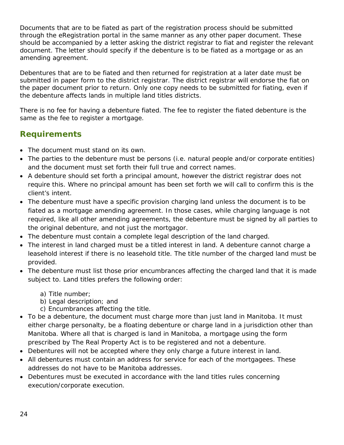Documents that are to be fiated as part of the registration process should be submitted through the eRegistration portal in the same manner as any other paper document. These should be accompanied by a letter asking the district registrar to fiat and register the relevant document. The letter should specify if the debenture is to be fiated as a mortgage or as an amending agreement.

Debentures that are to be fiated and then returned for registration at a later date must be submitted in paper form to the district registrar. The district registrar will endorse the fiat on the paper document prior to return. Only one copy needs to be submitted for fiating, even if the debenture affects lands in multiple land titles districts.

There is no fee for having a debenture fiated. The fee to register the fiated debenture is the same as the fee to register a mortgage.

## **Requirements**

- The document must stand on its own.
- The parties to the debenture must be persons (i.e. natural people and/or corporate entities) and the document must set forth their full true and correct names.
- A debenture should set forth a principal amount, however the district registrar does not require this. Where no principal amount has been set forth we will call to confirm this is the client's intent.
- The debenture must have a specific provision charging land unless the document is to be fiated as a mortgage amending agreement. In those cases, while charging language is not required, like all other amending agreements, the debenture must be signed by all parties to the original debenture, and not just the mortgagor.
- The debenture must contain a complete legal description of the land charged.
- The interest in land charged must be a titled interest in land. A debenture cannot charge a leasehold interest if there is no leasehold title. The title number of the charged land must be provided.
- The debenture must list those prior encumbrances affecting the charged land that it is made subject to. Land titles prefers the following order:
	- a) Title number;
	- b) Legal description; and
	- c) Encumbrances affecting the title.
- To be a debenture, the document must charge more than just land in Manitoba. It must either charge personalty, be a floating debenture or charge land in a jurisdiction other than Manitoba. Where all that is charged is land in Manitoba, a mortgage using the form prescribed by *The Real Property Act* is to be registered and not a debenture.
- Debentures will not be accepted where they only charge a future interest in land.
- All debentures must contain an address for service for each of the mortgagees. These addresses do not have to be Manitoba addresses.
- Debentures must be executed in accordance with the land titles rules concerning execution/corporate execution.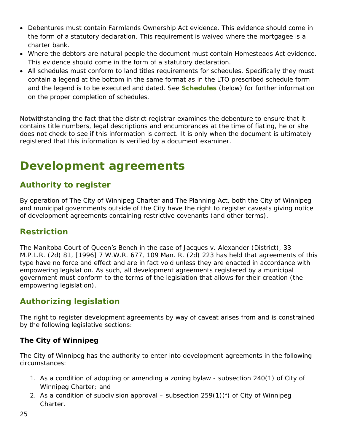- Debentures must contain *Farmlands Ownership Act* evidence. This evidence should come in the form of a statutory declaration. This requirement is waived where the mortgagee is a charter bank.
- Where the debtors are natural people the document must contain *Homesteads Act* evidence. This evidence should come in the form of a statutory declaration.
- All schedules must conform to land titles requirements for schedules. Specifically they must contain a legend at the bottom in the same format as in the LTO prescribed schedule form and the legend is to be executed and dated. See **Schedules** (below) for further information on the proper completion of schedules.

Notwithstanding the fact that the district registrar examines the debenture to ensure that it contains title numbers, legal descriptions and encumbrances at the time of fiating, he or she does not check to see if this information is correct. It is only when the document is ultimately registered that this information is verified by a document examiner.

## <span id="page-24-0"></span>**Development agreements**

## **Authority to register**

By operation of *The City of Winnipeg Charter* and *The Planning Act*, both the City of Winnipeg and municipal governments outside of the City have the right to register caveats giving notice of development agreements containing restrictive covenants (and other terms).

## **Restriction**

The Manitoba Court of Queen's Bench in the case of *Jacques* v. *Alexander (District),* 33 M.P.L.R. (2d) 81, [1996] 7 W.W.R. 677, 109 Man. R. (2d) 223 has held that agreements of this type have no force and effect and are in fact void unless they are enacted in accordance with empowering legislation. As such, all development agreements registered by a municipal government must conform to the terms of the legislation that allows for their creation (the empowering legislation).

## **Authorizing legislation**

The right to register development agreements by way of caveat arises from and is constrained by the following legislative sections:

#### **The City of Winnipeg**

The City of Winnipeg has the authority to enter into development agreements in the following circumstances:

- 1. As a condition of adopting or amending a zoning bylaw subsection 240(1) of *City of Winnipeg Charter*; and
- 2. As a condition of subdivision approval subsection 259(1)(f) of *City of Winnipeg Charter.*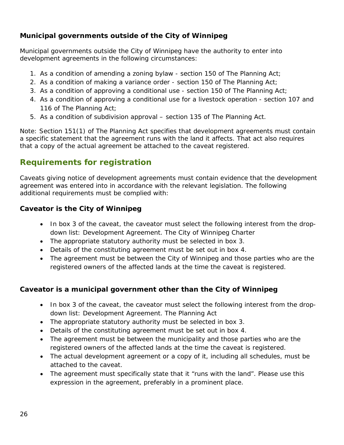#### **Municipal governments outside of the City of Winnipeg**

Municipal governments outside the City of Winnipeg have the authority to enter into development agreements in the following circumstances:

- 1. As a condition of amending a zoning bylaw section 150 of *The Planning Act*;
- 2. As a condition of making a variance order section 150 of *The Planning Act*;
- 3. As a condition of approving a conditional use section 150 of *The Planning Act*;
- 4. As a condition of approving a conditional use for a livestock operation section 107 and 116 of *The Planning Act*;
- 5. As a condition of subdivision approval section 135 of *The Planning Act.*

Note: Section 151(1) of *The Planning Act* specifies that development agreements must contain a specific statement that the agreement runs with the land it affects. That act also requires that a copy of the actual agreement be attached to the caveat registered.

## **Requirements for registration**

Caveats giving notice of development agreements must contain evidence that the development agreement was entered into in accordance with the relevant legislation. The following additional requirements must be complied with:

#### **Caveator is the City of Winnipeg**

- In box 3 of the caveat, the caveator must select the following interest from the dropdown list: Development Agreement. The City of Winnipeg Charter
- The appropriate statutory authority must be selected in box 3.
- Details of the constituting agreement must be set out in box 4.
- The agreement must be between the City of Winnipeg and those parties who are the registered owners of the affected lands at the time the caveat is registered.

#### **Caveator is a municipal government other than the City of Winnipeg**

- In box 3 of the caveat, the caveator must select the following interest from the dropdown list: Development Agreement. The Planning Act
- The appropriate statutory authority must be selected in box 3.
- Details of the constituting agreement must be set out in box 4.
- The agreement must be between the municipality and those parties who are the registered owners of the affected lands at the time the caveat is registered.
- The actual development agreement or a copy of it, including all schedules, must be attached to the caveat.
- The agreement must specifically state that it "runs with the land". Please use this expression in the agreement, preferably in a prominent place.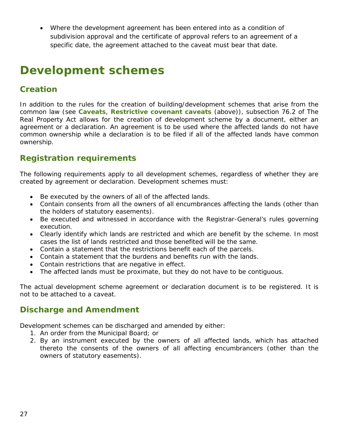• Where the development agreement has been entered into as a condition of subdivision approval and the certificate of approval refers to an agreement of a specific date, the agreement attached to the caveat must bear that date.

## <span id="page-26-0"></span>**Development schemes**

## **Creation**

In addition to the rules for the creation of building/development schemes that arise from the common law (see **Caveats**, **Restrictive covenant caveats** (above)), subsection 76.2 of *The Real Property Act* allows for the creation of development scheme by a document, either an agreement or a declaration. An agreement is to be used where the affected lands do not have common ownership while a declaration is to be filed if all of the affected lands have common ownership.

## **Registration requirements**

The following requirements apply to all development schemes, regardless of whether they are created by agreement or declaration. Development schemes must:

- Be executed by the owners of all of the affected lands.
- Contain consents from all the owners of all encumbrances affecting the lands (other than the holders of statutory easements).
- Be executed and witnessed in accordance with the Registrar-General's rules governing execution.
- Clearly identify which lands are restricted and which are benefit by the scheme. In most cases the list of lands restricted and those benefited will be the same.
- Contain a statement that the restrictions benefit each of the parcels.
- Contain a statement that the burdens and benefits run with the lands.
- Contain restrictions that are negative in effect.
- The affected lands must be proximate, but they do not have to be contiguous.

The actual development scheme agreement or declaration document is to be registered. It is not to be attached to a caveat.

#### **Discharge and Amendment**

Development schemes can be discharged and amended by either:

- 1. An order from the Municipal Board; or
- 2. By an instrument executed by the owners of all affected lands, which has attached thereto the consents of the owners of all affecting encumbrancers (other than the owners of statutory easements).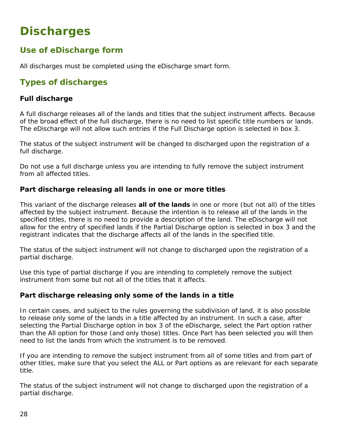## <span id="page-27-0"></span>**Discharges**

## **Use of eDischarge form**

All discharges must be completed using the eDischarge smart form.

## **Types of discharges**

#### **Full discharge**

A full discharge releases all of the lands and titles that the subject instrument affects. Because of the broad effect of the full discharge, there is no need to list specific title numbers or lands. The eDischarge will not allow such entries if the Full Discharge option is selected in box 3.

The status of the subject instrument will be changed to *discharged* upon the registration of a full discharge.

Do not use a full discharge unless you are intending to fully remove the subject instrument from all affected titles.

#### **Part discharge releasing all lands in one or more titles**

This variant of the discharge releases **all of the lands** in one or more (but not all) of the titles affected by the subject instrument. Because the intention is to release all of the lands in the specified titles, there is no need to provide a description of the land. The eDischarge will not allow for the entry of specified lands if the Partial Discharge option is selected in box 3 and the registrant indicates that the discharge affects all of the lands in the specified title.

The status of the subject instrument will not change to discharged upon the registration of a partial discharge.

Use this type of partial discharge if you are intending to completely remove the subject instrument from some but not all of the titles that it affects.

#### **Part discharge releasing only some of the lands in a title**

In certain cases, and subject to the rules governing the subdivision of land, it is also possible to release only some of the lands in a title affected by an instrument. In such a case, after selecting the Partial Discharge option in box 3 of the eDischarge, select the Part option rather than the All option for those (and only those) titles. Once Part has been selected you will then need to list the lands from which the instrument is to be removed.

If you are intending to remove the subject instrument from all of some titles and from part of other titles, make sure that you select the ALL or Part options as are relevant for each separate title.

The status of the subject instrument will not change to discharged upon the registration of a partial discharge.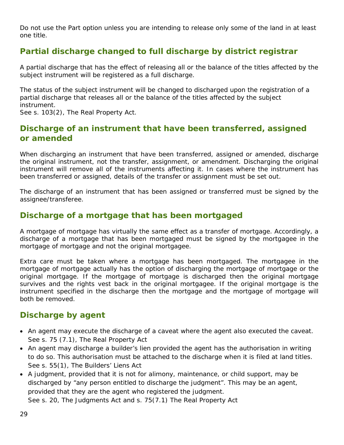Do not use the Part option unless you are intending to release only some of the land in at least one title.

## **Partial discharge changed to full discharge by district registrar**

A partial discharge that has the effect of releasing all or the balance of the titles affected by the subject instrument will be registered as a full discharge.

The status of the subject instrument will be changed to discharged upon the registration of a partial discharge that releases all or the balance of the titles affected by the subject instrument.

See s. 103(2), *The Real Property Act*.

## **Discharge of an instrument that have been transferred, assigned or amended**

When discharging an instrument that have been transferred, assigned or amended, discharge the original instrument, not the transfer, assignment, or amendment. Discharging the original instrument will remove all of the instruments affecting it. In cases where the instrument has been transferred or assigned, details of the transfer or assignment must be set out.

The discharge of an instrument that has been assigned or transferred must be signed by the assignee/transferee.

## **Discharge of a mortgage that has been mortgaged**

A mortgage of mortgage has virtually the same effect as a transfer of mortgage. Accordingly, a discharge of a mortgage that has been mortgaged must be signed by the mortgagee in the mortgage of mortgage and not the original mortgagee.

Extra care must be taken where a mortgage has been mortgaged. The mortgagee in the mortgage of mortgage actually has the option of discharging the mortgage of mortgage or the original mortgage. If the mortgage of mortgage is discharged then the original mortgage survives and the rights vest back in the original mortgagee. If the original mortgage is the instrument specified in the discharge then the mortgage and the mortgage of mortgage will both be removed.

### **Discharge by agent**

- An agent may execute the discharge of a caveat where the agent also executed the caveat. See s. 75 (7.1), *The Real Property Act*
- An agent may discharge a builder's lien provided the agent has the authorisation in writing to do so. This authorisation must be attached to the discharge when it is filed at land titles. See s. 55(1), The Builders' Liens Act
- A judgment, provided that it is not for alimony, maintenance, or child support, may be discharged by "any person entitled to discharge the judgment". This may be an agent, provided that they are the agent who registered the judgment. See s. 20, The Judgments Act and s. 75(7.1) *The Real Property Act*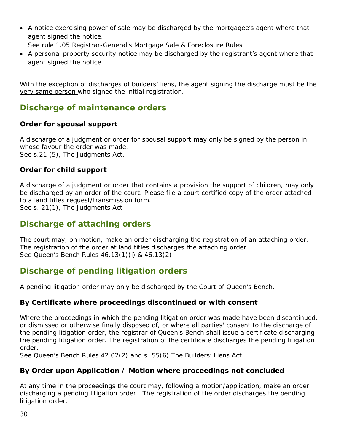• A notice exercising power of sale may be discharged by the mortgagee's agent where that agent signed the notice.

See rule 1.05 Registrar-General's Mortgage Sale & Foreclosure Rules

• A personal property security notice may be discharged by the registrant's agent where that agent signed the notice

With the exception of discharges of builders' liens, the agent signing the discharge must be the very same person who signed the initial registration.

## **Discharge of maintenance orders**

#### **Order for spousal support**

A discharge of a judgment or order for spousal support may only be signed by the person in whose favour the order was made. See s.21 (5), The Judgments Act.

#### **Order for child support**

A discharge of a judgment or order that contains a provision the support of children, may only be discharged by an order of the court. Please file a court certified copy of the order attached to a land titles request/transmission form.

See s. 21(1), The Judgments Act

## **Discharge of attaching orders**

The court may, on motion, make an order discharging the registration of an attaching order. The registration of the order at land titles discharges the attaching order. See Queen's Bench Rules 46.13(1)(i) & 46.13(2)

## **Discharge of pending litigation orders**

A pending litigation order may only be discharged by the Court of Queen's Bench.

#### **By Certificate where proceedings discontinued or with consent**

Where the proceedings in which the pending litigation order was made have been discontinued, or dismissed or otherwise finally disposed of, or where all parties' consent to the discharge of the pending litigation order, the registrar of Queen's Bench shall issue a certificate discharging the pending litigation order. The registration of the certificate discharges the pending litigation order.

See Queen's Bench Rules 42.02(2) and s. 55(6) *The Builders' Liens Act*

#### **By Order upon Application / Motion where proceedings not concluded**

At any time in the proceedings the court may, following a motion/application, make an order discharging a pending litigation order. The registration of the order discharges the pending litigation order.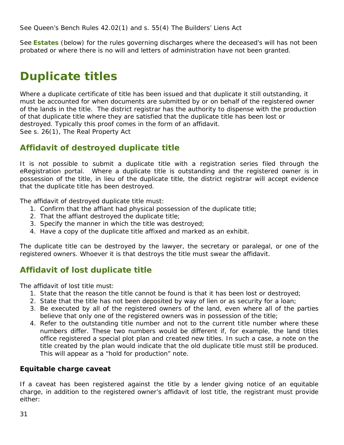See Queen's Bench Rules 42.02(1) and s. 55(4) *The Builders' Liens Act*

See **Estates** (below) for the rules governing discharges where the deceased's will has not been probated or where there is no will and letters of administration have not been granted.

## <span id="page-30-0"></span>**Duplicate titles**

Where a duplicate certificate of title has been issued and that duplicate it still outstanding, it must be accounted for when documents are submitted by or on behalf of the registered owner of the lands in the title. The district registrar has the authority to dispense with the production of that duplicate title where they are satisfied that the duplicate title has been lost or destroyed. Typically this proof comes in the form of an affidavit. See s. 26(1), *The Real Property Act*

### **Affidavit of destroyed duplicate title**

It is not possible to submit a duplicate title with a registration series filed through the eRegistration portal. Where a duplicate title is outstanding and the registered owner is in possession of the title, in lieu of the duplicate title, the district registrar will accept evidence that the duplicate title has been destroyed.

The affidavit of destroyed duplicate title must:

- 1. Confirm that the affiant had physical possession of the duplicate title;
- 2. That the affiant destroyed the duplicate title;
- 3. Specify the manner in which the title was destroyed;
- 4. Have a copy of the duplicate title affixed and marked as an exhibit.

The duplicate title can be destroyed by the lawyer, the secretary or paralegal, or one of the registered owners. Whoever it is that destroys the title must swear the affidavit.

## **Affidavit of lost duplicate title**

The affidavit of lost title must:

- 1. State that the reason the title cannot be found is that it has been lost or destroyed;
- 2. State that the title has not been deposited by way of lien or as security for a loan;
- 3. Be executed by all of the registered owners of the land, even where all of the parties believe that only one of the registered owners was in possession of the title;
- 4. Refer to the outstanding title number and not to the current title number where these numbers differ. These two numbers would be different if, for example, the land titles office registered a special plot plan and created new titles. In such a case, a note on the title created by the plan would indicate that the old duplicate title must still be produced. This will appear as a "hold for production" note.

#### **Equitable charge caveat**

If a caveat has been registered against the title by a lender giving notice of an equitable charge, in addition to the registered owner's affidavit of lost title, the registrant must provide either: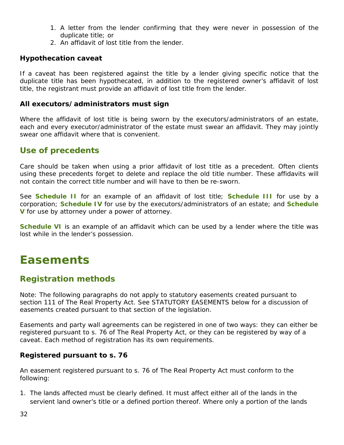- 1. A letter from the lender confirming that they were never in possession of the duplicate title; or
- 2. An affidavit of lost title from the lender.

#### **Hypothecation caveat**

If a caveat has been registered against the title by a lender giving specific notice that the duplicate title has been hypothecated, in addition to the registered owner's affidavit of lost title, the registrant must provide an affidavit of lost title from the lender.

#### **All executors/administrators must sign**

Where the affidavit of lost title is being sworn by the executors/administrators of an estate, each and every executor/administrator of the estate must swear an affidavit. They may jointly swear one affidavit where that is convenient.

### **Use of precedents**

Care should be taken when using a prior affidavit of lost title as a precedent. Often clients using these precedents forget to delete and replace the old title number. These affidavits will not contain the correct title number and will have to then be re-sworn.

See **Schedule II** for an example of an affidavit of lost title; **Schedule III** for use by a corporation; **Schedule IV** for use by the executors/administrators of an estate; and **Schedule V** for use by attorney under a power of attorney.

**Schedule VI** is an example of an affidavit which can be used by a lender where the title was lost while in the lender's possession.

## <span id="page-31-0"></span>**Easements**

#### **Registration methods**

Note: The following paragraphs do not apply to statutory easements created pursuant to section 111 of *The Real Property Act*. See STATUTORY EASEMENTS below for a discussion of easements created pursuant to that section of the legislation.

Easements and party wall agreements can be registered in one of two ways: they can either be registered pursuant to s. 76 of *The Real Property Act*, or they can be registered by way of a caveat. Each method of registration has its own requirements.

#### **Registered pursuant to s. 76**

An easement registered pursuant to s. 76 of *The Real Property Act* must conform to the following:

1. The lands affected must be clearly defined. It must affect either all of the lands in the servient land owner's title or a defined portion thereof. Where only a portion of the lands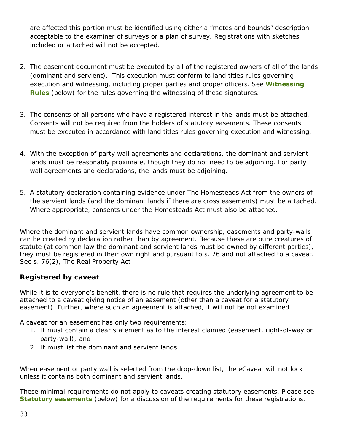are affected this portion must be identified using either a "metes and bounds" description acceptable to the examiner of surveys or a plan of survey. Registrations with sketches included or attached will not be accepted.

- 2. The easement document must be executed by all of the registered owners of all of the lands (dominant and servient). This execution must conform to land titles rules governing execution and witnessing, including proper parties and proper officers. See **Witnessing Rules** (below) for the rules governing the witnessing of these signatures*.*
- 3. The consents of all persons who have a registered interest in the lands must be attached. Consents will not be required from the holders of statutory easements. These consents must be executed in accordance with land titles rules governing execution and witnessing.
- 4. With the exception of party wall agreements and declarations, the dominant and servient lands must be reasonably proximate, though they do not need to be adjoining. For party wall agreements and declarations, the lands must be adjoining.
- 5. A statutory declaration containing evidence under The *Homesteads Act* from the owners of the servient lands (and the dominant lands if there are cross easements) must be attached. Where appropriate, consents under the *Homesteads Act* must also be attached.

Where the dominant and servient lands have common ownership, easements and party-walls can be created by declaration rather than by agreement. Because these are pure creatures of statute (at common law the dominant and servient lands must be owned by different parties), they must be registered in their own right and pursuant to s. 76 and not attached to a caveat. See s. 76(2), *The Real Property Act*

#### **Registered by caveat**

While it is to everyone's benefit, there is no rule that requires the underlying agreement to be attached to a caveat giving notice of an easement (other than a caveat for a statutory easement). Further, where such an agreement is attached, it will not be not examined.

A caveat for an easement has only two requirements:

- 1. It must contain a clear statement as to the interest claimed (easement, right-of-way or party-wall); and
- 2. It must list the dominant and servient lands.

When easement or party wall is selected from the drop-down list, the eCaveat will not lock unless it contains both dominant and servient lands.

These minimal requirements do not apply to caveats creating *statutory easements*. Please see **Statutory easements** (below) for a discussion of the requirements for these registrations.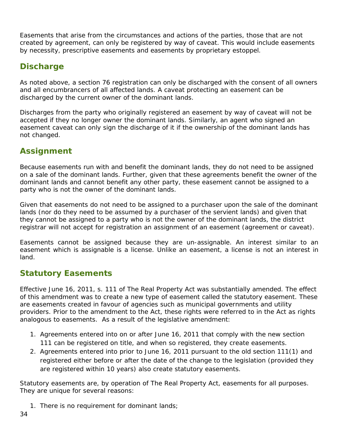Easements that arise from the circumstances and actions of the parties, those that are not created by agreement, can *only* be registered by way of caveat. This would include easements by necessity, prescriptive easements and easements by proprietary estoppel.

## **Discharge**

As noted above, a section 76 registration can only be discharged with the consent of all owners and all encumbrancers of all affected lands. A caveat protecting an easement can be discharged by the current owner of the dominant lands.

Discharges from the party who originally registered an easement by way of caveat will not be accepted if they no longer owner the dominant lands. Similarly, an agent who signed an easement caveat can only sign the discharge of it if the ownership of the dominant lands has not changed.

## **Assignment**

Because easements run with and benefit the dominant lands, they do not need to be assigned on a sale of the dominant lands. Further, given that these agreements benefit the owner of the dominant lands and cannot benefit any other party, these easement cannot be assigned to a party who is not the owner of the dominant lands.

Given that easements do not need to be assigned to a purchaser upon the sale of the dominant lands (nor do they need to be assumed by a purchaser of the servient lands) and given that they cannot be assigned to a party who is not the owner of the dominant lands, the district registrar will not accept for registration an assignment of an easement (agreement or caveat).

Easements cannot be assigned because they are un-assignable. An interest similar to an easement which is assignable is a license. Unlike an easement, a license is not an interest in land.

## **Statutory Easements**

Effective June 16, 2011, s. 111 of *The Real Property Act* was substantially amended. The effect of this amendment was to create a new type of easement called the statutory easement. These are easements created in favour of agencies such as municipal governments and utility providers. Prior to the amendment to the Act, these rights were referred to in the Act as *rights analogous to easements*. As a result of the legislative amendment:

- 1. Agreements entered into on or after June 16, 2011 that comply with the new section 111 can be registered on title, and when so registered, they create easements.
- 2. Agreements entered into prior to June 16, 2011 pursuant to the old section 111(1) and registered *either before or after* the date of the change to the legislation (provided they are registered within 10 years) also create statutory easements.

Statutory easements are, by operation of *The Real Property Act*, easements for all purposes. They are unique for several reasons:

1. There is no requirement for dominant lands;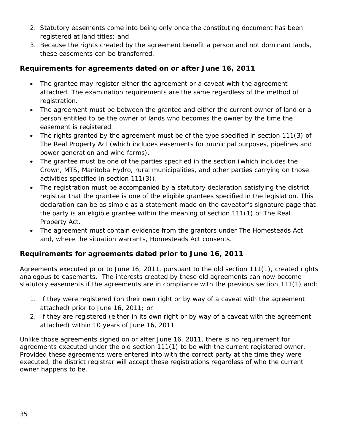- 2. Statutory easements come into being only once the constituting document has been registered at land titles; and
- 3. Because the rights created by the agreement benefit a person and not dominant lands, these easements can be transferred.

#### **Requirements for agreements dated on or after June 16, 2011**

- The grantee may register either the agreement or a caveat with the agreement attached. The examination requirements are the same regardless of the method of registration.
- The agreement must be between the grantee and either the current owner of land or a person entitled to be the owner of lands who becomes the owner by the time the easement is registered.
- The rights granted by the agreement must be of the type specified in section 111(3) of *The Real Property Act* (which includes easements for municipal purposes, pipelines and power generation and wind farms).
- The grantee must be one of the parties specified in the section (which includes the Crown, MTS, Manitoba Hydro, rural municipalities, and other parties carrying on those activities specified in section 111(3)).
- The registration must be accompanied by a statutory declaration satisfying the district registrar that the grantee is one of the eligible grantees specified in the legislation. This declaration can be as simple as a statement made on the caveator's signature page that the party is an eligible grantee within the meaning of section 111(1) of The Real Property Act.
- The agreement must contain evidence from the grantors under The Homesteads Act and, where the situation warrants, Homesteads Act consents.

#### **Requirements for agreements dated prior to June 16, 2011**

Agreements executed prior to June 16, 2011, pursuant to the old section 111(1), created rights analogous to easements. The interests created by these old agreements can now become statutory easements if the agreements are in compliance with the previous section 111(1) and:

- 1. If they were registered (on their own right or by way of a caveat with the agreement attached) prior to June 16, 2011; or
- 2. If they are registered (either in its own right or by way of a caveat with the agreement attached) within 10 years of June 16, 2011

Unlike those agreements signed on or after June 16, 2011, there is no requirement for agreements executed under the old section 111(1) to be with the current registered owner. Provided these agreements were entered into with the correct party at the time they were executed, the district registrar will accept these registrations regardless of who the current owner happens to be.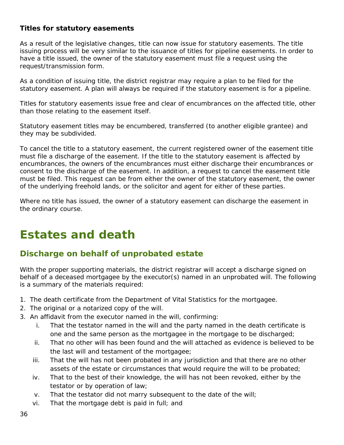#### **Titles for statutory easements**

As a result of the legislative changes, title can now issue for statutory easements. The title issuing process will be very similar to the issuance of titles for pipeline easements. In order to have a title issued, the owner of the statutory easement must file a request using the request/transmission form.

As a condition of issuing title, the district registrar may require a plan to be filed for the statutory easement. A plan will always be required if the statutory easement is for a pipeline.

Titles for statutory easements issue free and clear of encumbrances on the affected title, other than those relating to the easement itself.

Statutory easement titles may be encumbered, transferred (to another eligible grantee) and they may be subdivided.

To cancel the title to a statutory easement, the current registered owner of the easement title must file a discharge of the easement. If the title to the statutory easement is affected by encumbrances, the owners of the encumbrances must either discharge their encumbrances or consent to the discharge of the easement. In addition, a request to cancel the easement title must be filed. This request can be from either the owner of the statutory easement, the owner of the underlying freehold lands, or the solicitor and agent for either of these parties.

Where no title has issued, the owner of a statutory easement can discharge the easement in the ordinary course.

## <span id="page-35-0"></span>**Estates and death**

## **Discharge on behalf of unprobated estate**

With the proper supporting materials, the district registrar will accept a discharge signed on behalf of a deceased mortgagee by the executor(s) named in an unprobated will. The following is a summary of the materials required:

- 1. The death certificate from the Department of Vital Statistics for the mortgagee.
- 2. The original or a notarized copy of the will.
- 3. An affidavit from the executor named in the will, confirming:
	- i. That the testator named in the will and the party named in the death certificate is one and the same person as the mortgagee in the mortgage to be discharged;
	- ii. That no other will has been found and the will attached as evidence is believed to be the last will and testament of the mortgagee;
	- iii. That the will has not been probated in any jurisdiction and that there are no other assets of the estate or circumstances that would require the will to be probated;
	- iv. That to the best of their knowledge, the will has not been revoked, either by the testator or by operation of law;
	- v. That the testator did not marry subsequent to the date of the will;
	- vi. That the mortgage debt is paid in full; and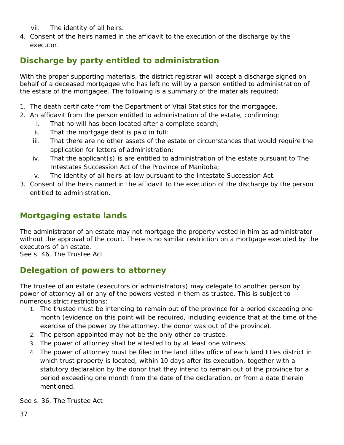- vii. The identity of all heirs.
- 4. Consent of the heirs named in the affidavit to the execution of the discharge by the executor.

# **Discharge by party entitled to administration**

With the proper supporting materials, the district registrar will accept a discharge signed on behalf of a deceased mortgagee who has left no will by a person entitled to administration of the estate of the mortgagee. The following is a summary of the materials required:

- 1. The death certificate from the Department of Vital Statistics for the mortgagee.
- 2. An affidavit from the person entitled to administration of the estate, confirming:
	- i. That no will has been located after a complete search;
	- ii. That the mortgage debt is paid in full;
	- iii. That there are no other assets of the estate or circumstances that would require the application for letters of administration;
	- iv. That the applicant(s) is are entitled to administration of the estate pursuant to *The Intestates Succession Act* of the Province of Manitoba;
	- v. The identity of all heirs-at-law pursuant to the Intestate Succession Act.
- 3. Consent of the heirs named in the affidavit to the execution of the discharge by the person entitled to administration.

# **Mortgaging estate lands**

The administrator of an estate may not mortgage the property vested in him as administrator without the approval of the court. There is no similar restriction on a mortgage executed by the executors of an estate.

See s. 46, *The Trustee Act*

# **Delegation of powers to attorney**

The trustee of an estate (executors or administrators) may delegate to another person by power of attorney all or any of the powers vested in them as trustee. This is subject to numerous strict restrictions:

- 1. The trustee must be intending to remain out of the province for a period exceeding one month (evidence on this point will be required, including evidence that at the time of the exercise of the power by the attorney, the donor was out of the province).
- 2. The person appointed may not be the only other co-trustee.
- 3. The power of attorney shall be attested to by at least one witness.
- 4. The power of attorney must be filed in the land titles office of each land titles district in which trust property is located, within 10 days after its execution, together with a statutory declaration by the donor that they intend to remain out of the province for a period exceeding one month from the date of the declaration, or from a date therein mentioned.

See s. 36, *The Trustee Act*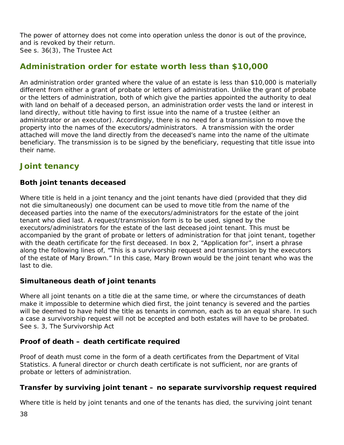The power of attorney does not come into operation unless the donor is out of the province, and is revoked by their return. See s. 36(3), *The Trustee Act*

## **Administration order for estate worth less than \$10,000**

An administration order granted where the value of an estate is less than \$10,000 is materially different from either a grant of probate or letters of administration. Unlike the grant of probate or the letters of administration, both of which give the parties appointed the authority to deal with land on behalf of a deceased person, an administration order vests the land or interest in land directly, without title having to first issue into the name of a trustee (either an administrator or an executor). Accordingly, there is no need for a transmission to move the property into the names of the executors/administrators. A transmission with the order attached will move the land directly from the deceased's name into the name of the ultimate beneficiary. The transmission is to be signed by the beneficiary, requesting that title issue into their name.

## **Joint tenancy**

#### **Both joint tenants deceased**

Where title is held in a joint tenancy and the joint tenants have died (provided that they did not die simultaneously) one document can be used to move title from the name of the deceased parties into the name of the executors/administrators for the estate of the joint tenant who died last. A request/transmission form is to be used, signed by the executors/administrators for the estate of the last deceased joint tenant. This must be accompanied by the grant of probate or letters of administration for that joint tenant, together with the death certificate for the first deceased. In box 2, "Application for", insert a phrase along the following lines of, "This is a survivorship request and transmission by the executors of the estate of Mary Brown." In this case, Mary Brown would be the joint tenant who was the last to die.

#### **Simultaneous death of joint tenants**

Where all joint tenants on a title die at the same time, or where the circumstances of death make it impossible to determine which died first, the joint tenancy is severed and the parties will be deemed to have held the title as tenants in common, each as to an equal share. In such a case a survivorship request will not be accepted and both estates will have to be probated. See s. 3, The Survivorship Act

#### **Proof of death – death certificate required**

Proof of death must come in the form of a death certificates from the Department of Vital Statistics. A funeral director or church death certificate is not sufficient, nor are grants of probate or letters of administration.

#### **Transfer by surviving joint tenant – no separate survivorship request required**

Where title is held by joint tenants and one of the tenants has died, the surviving joint tenant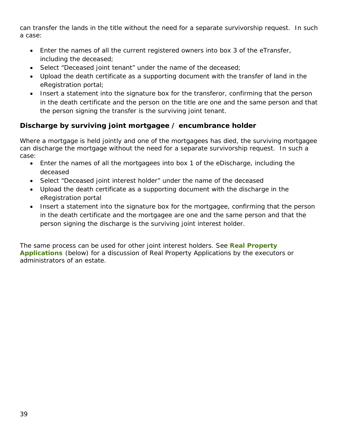can transfer the lands in the title without the need for a separate survivorship request. In such a case:

- Enter the names of all the current registered owners into box 3 of the eTransfer, including the deceased;
- Select "Deceased joint tenant" under the name of the deceased;
- Upload the death certificate as a supporting document with the transfer of land in the eRegistration portal;
- Insert a statement into the signature box for the transferor, confirming that the person in the death certificate and the person on the title are one and the same person and that the person signing the transfer is the surviving joint tenant.

#### **Discharge by surviving joint mortgagee / encumbrance holder**

Where a mortgage is held jointly and one of the mortgagees has died, the surviving mortgagee can discharge the mortgage without the need for a separate survivorship request. In such a case:

- Enter the names of all the mortgagees into box 1 of the eDischarge, including the deceased
- Select "Deceased joint interest holder" under the name of the deceased
- Upload the death certificate as a supporting document with the discharge in the eRegistration portal
- Insert a statement into the signature box for the mortgagee, confirming that the person in the death certificate and the mortgagee are one and the same person and that the person signing the discharge is the surviving joint interest holder.

The same process can be used for other joint interest holders. See **Real Property Applications** (below) for a discussion of Real Property Applications by the executors or administrators of an estate.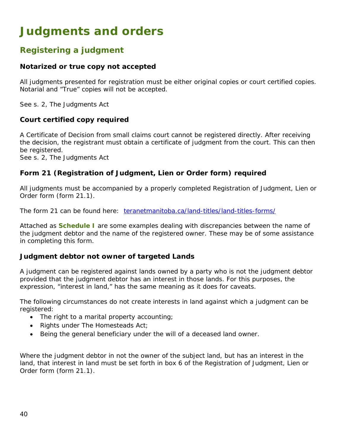# **Judgments and orders**

## **Registering a judgment**

#### **Notarized or true copy not accepted**

All judgments presented for registration must be either original copies or court certified copies. Notarial and "True" copies will not be accepted.

See s. 2, *The Judgments Act*

#### **Court certified copy required**

A Certificate of Decision from small claims court cannot be registered directly. After receiving the decision, the registrant must obtain a certificate of judgment from the court. This can then be registered.

See s. 2, *The Judgments Act*

#### **Form 21 (Registration of Judgment, Lien or Order form) required**

All judgments must be accompanied by a properly completed Registration of Judgment, Lien or Order form (form 21.1).

The form 21 can be found here: [teranetmanitoba.ca/land-titles/land-titles-forms/](http://teranetmanitoba.ca/land-titles/land-titles-forms/) 

Attached as **Schedule I** are some examples dealing with discrepancies between the name of the judgment debtor and the name of the registered owner. These may be of some assistance in completing this form.

#### **Judgment debtor not owner of targeted Lands**

A judgment can be registered against lands owned by a party who is not the judgment debtor provided that the judgment debtor has an interest in those lands. For this purposes, the expression, "interest in land," has the same meaning as it does for caveats.

The following circumstances do not create interests in land against which a judgment can be registered:

- The right to a marital property accounting;
- Rights under The Homesteads Act;
- Being the general beneficiary under the will of a deceased land owner.

Where the judgment debtor in not the owner of the subject land, but has an interest in the land, that interest in land must be set forth in box 6 of the Registration of Judgment, Lien or Order form (form 21.1).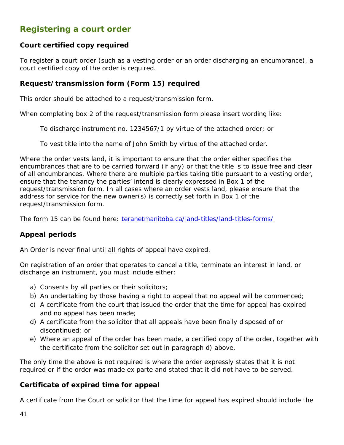# **Registering a court order**

#### **Court certified copy required**

To register a court order (such as a vesting order or an order discharging an encumbrance), a court certified copy of the order is required.

#### **Request/transmission form (Form 15) required**

This order should be attached to a request/transmission form.

When completing box 2 of the request/transmission form please insert wording like:

To discharge instrument no. 1234567/1 by virtue of the attached order; or

To vest title into the name of John Smith by virtue of the attached order.

Where the order vests land, it is important to ensure that the order either specifies the encumbrances that are to be carried forward (if any) or that the title is to issue free and clear of all encumbrances. Where there are multiple parties taking title pursuant to a vesting order, ensure that the tenancy the parties' intend is clearly expressed in Box 1 of the request/transmission form. In all cases where an order vests land, please ensure that the address for service for the new owner(s) is correctly set forth in Box 1 of the request/transmission form.

The form 15 can be found here: [teranetmanitoba.ca/land-titles/land-titles-forms/](http://teranetmanitoba.ca/land-titles/land-titles-forms/) 

#### **Appeal periods**

An Order is never final until all rights of appeal have expired.

On registration of an order that operates to cancel a title, terminate an interest in land, or discharge an instrument, you must include either:

- a) Consents by all parties or their solicitors;
- b) An undertaking by those having a right to appeal that no appeal will be commenced;
- c) A certificate from the court that issued the order that the time for appeal has expired and no appeal has been made;
- d) A certificate from the solicitor that all appeals have been finally disposed of or discontinued; or
- e) Where an appeal of the order has been made, a certified copy of the order, together with the certificate from the solicitor set out in paragraph d) above.

The only time the above is not required is where the order expressly states that it is not required or if the order was made ex parte and stated that it did not have to be served.

#### **Certificate of expired time for appeal**

A certificate from the Court or solicitor that the time for appeal has expired should include the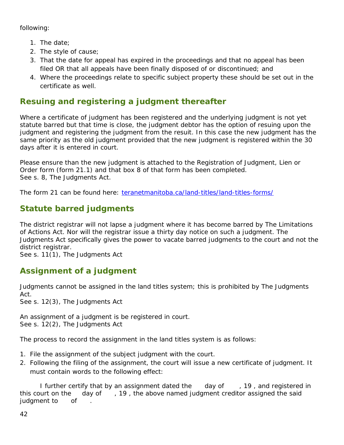following:

- 1. The date;
- 2. The style of cause;
- 3. That the date for appeal has expired in the proceedings and that no appeal has been filed OR that all appeals have been finally disposed of or discontinued; and
- 4. Where the proceedings relate to specific subject property these should be set out in the certificate as well.

# **Resuing and registering a judgment thereafter**

Where a certificate of judgment has been registered and the underlying judgment is not yet statute barred but that time is close, the judgment debtor has the option of resuing upon the judgment and registering the judgment from the resuit. In this case the new judgment has the same priority as the old judgment provided that the new judgment is registered within the 30 days after it is entered in court.

Please ensure than the new judgment is attached to the Registration of Judgment, Lien or Order form (form 21.1) and that box 8 of that form has been completed. See s. 8, The Judgments Act.

The form 21 can be found here: [teranetmanitoba.ca/land-titles/land-titles-forms/](http://teranetmanitoba.ca/land-titles/land-titles-forms/) 

# **Statute barred judgments**

The district registrar will not lapse a judgment where it has become barred by *The Limitations of Actions Act*. Nor will the registrar issue a thirty day notice on such a judgment. The Judgments Act specifically gives the power to vacate barred judgments to the court and not the district registrar.

See s. 11(1), *The Judgments Act*

# **Assignment of a judgment**

Judgments cannot be assigned in the land titles system; this is prohibited by The Judgments Act.

See s. 12(3), *The Judgments Act*

An assignment of a judgment is be registered in court. See s. 12(2), *The Judgments Act*

The process to record the assignment in the land titles system is as follows:

- 1. File the assignment of the subject judgment with the court.
- 2. Following the filing of the assignment, the court will issue a new certificate of judgment. It must contain words to the following effect:

I further certify that by an assignment dated the day of , 19, and registered in this court on the day of, 19, the above named judgment creditor assigned the said judgment to of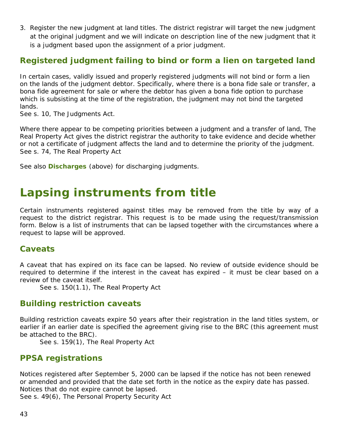3. Register the new judgment at land titles. The district registrar will target the new judgment at the original judgment and we will indicate on description line of the new judgment that it is a judgment based upon the assignment of a prior judgment.

## **Registered judgment failing to bind or form a lien on targeted land**

In certain cases, validly issued and properly registered judgments will not bind or form a lien on the lands of the judgment debtor. Specifically, where there is a bona fide sale or transfer, a bona fide agreement for sale or where the debtor has given a bona fide option to purchase which is subsisting at the time of the registration, the judgment may not bind the targeted lands.

See s. 10, *The Judgments Act*.

Where there appear to be competing priorities between a judgment and a transfer of land, *The Real Property Act* gives the district registrar the authority to take evidence and decide whether or not a certificate of judgment affects the land and to determine the priority of the judgment. See s. 74, *The Real Property Act*

See also **Discharges** (above) for discharging judgments.

# **Lapsing instruments from title**

Certain instruments registered against titles may be removed from the title by way of a request to the district registrar. This request is to be made using the request/transmission form. Below is a list of instruments that can be lapsed together with the circumstances where a request to lapse will be approved.

## **Caveats**

A caveat that has expired on its face can be lapsed. No review of outside evidence should be required to determine if the interest in the caveat has expired – it must be clear based on a review of the caveat itself.

See s. 150(1.1), *The Real Property Act*

## **Building restriction caveats**

Building restriction caveats expire 50 years after their registration in the land titles system, or earlier if an earlier date is specified the agreement giving rise to the BRC (this agreement must be attached to the BRC).

See s. 159(1), *The Real Property Act*

## **PPSA registrations**

Notices registered after September 5, 2000 can be lapsed if the notice has not been renewed or amended and provided that the date set forth in the notice as the expiry date has passed. Notices that do not expire cannot be lapsed.

See s. 49(6), *The Personal Property Security Act*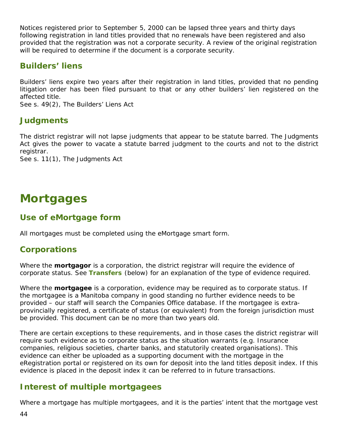Notices registered prior to September 5, 2000 can be lapsed three years and thirty days following registration in land titles provided that no renewals have been registered and also provided that the registration was not a corporate security. A review of the original registration will be required to determine if the document is a corporate security.

## **Builders' liens**

Builders' liens expire two years after their registration in land titles, provided that no pending litigation order has been filed pursuant to that or any other builders' lien registered on the affected title.

See s. 49(2), *The Builders' Liens Act*

## **Judgments**

The district registrar will not lapse judgments that appear to be statute barred. The Judgments Act gives the power to vacate a statute barred judgment to the courts and not to the district registrar.

See s. 11(1), *The Judgments Act*

# **Mortgages**

## **Use of eMortgage form**

All mortgages must be completed using the eMortgage smart form.

## **Corporations**

Where the **mortgagor** is a corporation, the district registrar will require the evidence of corporate status. See **Transfers** (below) for an explanation of the type of evidence required.

Where the **mortgagee** is a corporation, evidence may be required as to corporate status. If the mortgagee is a Manitoba company in good standing no further evidence needs to be provided – our staff will search the Companies Office database. If the mortgagee is extraprovincially registered, a certificate of status (or equivalent) from the foreign jurisdiction must be provided. This document can be no more than two years old.

There are certain exceptions to these requirements, and in those cases the district registrar will require such evidence as to corporate status as the situation warrants (e.g. Insurance companies, religious societies, charter banks, and statutorily created organisations). This evidence can either be uploaded as a supporting document with the mortgage in the eRegistration portal or registered on its own for deposit into the land titles deposit index. If this evidence is placed in the deposit index it can be referred to in future transactions.

# **Interest of multiple mortgagees**

Where a mortgage has multiple mortgagees, and it is the parties' intent that the mortgage vest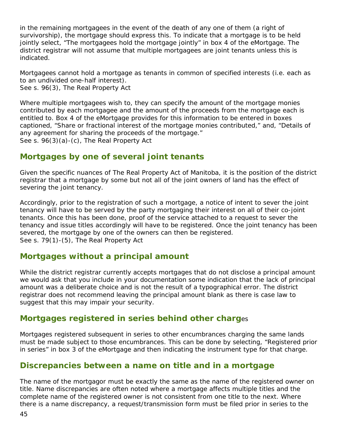in the remaining mortgagees in the event of the death of any one of them (a right of survivorship), the mortgage should express this. To indicate that a mortgage is to be held jointly select, "The mortgagees hold the mortgage jointly" in box 4 of the eMortgage. The district registrar will not assume that multiple mortgagees are joint tenants unless this is indicated.

Mortgagees cannot hold a mortgage as tenants in common of specified interests (i.e. each as to an undivided one-half interest). See s. 96(3), *The Real Property Act*

Where multiple mortgagees wish to, they can specify the amount of the mortgage monies contributed by each mortgagee and the amount of the proceeds from the mortgage each is entitled to. Box 4 of the eMortgage provides for this information to be entered in boxes captioned, "Share or fractional interest of the mortgage monies contributed," and, "Details of any agreement for sharing the proceeds of the mortgage." See s. 96(3)(a)-(c), *The Real Property Act*

## **Mortgages by one of several joint tenants**

Given the specific nuances of *The Real Property Act* of Manitoba, it is the position of the district registrar that a mortgage by some but not all of the joint owners of land has the effect of severing the joint tenancy.

Accordingly, prior to the registration of such a mortgage, a notice of intent to sever the joint tenancy will have to be served by the party mortgaging their interest on all of their co-joint tenants. Once this has been done, proof of the service attached to a request to sever the tenancy and issue titles accordingly will have to be registered. Once the joint tenancy has been severed, the mortgage by one of the owners can then be registered. See s. 79(1)-(5), *The Real Property Act*

## **Mortgages without a principal amount**

While the district registrar currently accepts mortgages that do not disclose a principal amount we would ask that you include in your documentation some indication that the lack of principal amount was a deliberate choice and is not the result of a typographical error. The district registrar does not recommend leaving the principal amount blank as there is case law to suggest that this may impair your security.

#### **Mortgages registered in series behind other charg**es

Mortgages registered subsequent in series to other encumbrances charging the same lands must be made subject to those encumbrances. This can be done by selecting, "Registered prior in series" in box 3 of the eMortgage and then indicating the instrument type for that charge.

## **Discrepancies between a name on title and in a mortgage**

The name of the mortgagor must be exactly the same as the name of the registered owner on title. Name discrepancies are often noted where a mortgage affects multiple titles and the complete name of the registered owner is not consistent from one title to the next. Where there is a name discrepancy, a request/transmission form must be filed prior in series to the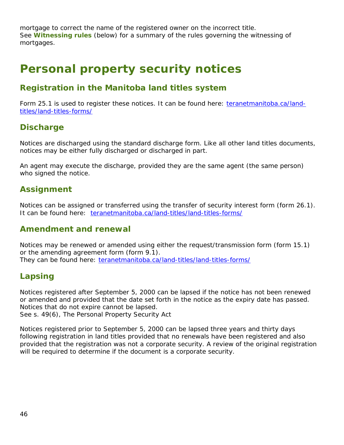mortgage to correct the name of the registered owner on the incorrect title. See **Witnessing rules** (below) for a summary of the rules governing the witnessing of mortgages.

# **Personal property security notices**

## **Registration in the Manitoba land titles system**

Form 25.1 is used to register these notices. It can be found here: [teranetmanitoba.ca/land](http://teranetmanitoba.ca/land-titles/land-titles-forms/)[titles/land-titles-forms/](http://teranetmanitoba.ca/land-titles/land-titles-forms/) 

## **Discharge**

Notices are discharged using the standard discharge form. Like all other land titles documents, notices may be either fully discharged or discharged in part.

An agent may execute the discharge, provided they are the same agent (the same person) who signed the notice.

## **Assignment**

Notices can be assigned or transferred using the transfer of security interest form (form 26.1). It can be found here: [teranetmanitoba.ca/land-titles/land-titles-forms/](http://teranetmanitoba.ca/land-titles/land-titles-forms/) 

#### **Amendment and renewal**

Notices may be renewed or amended using either the request/transmission form (form 15.1) or the amending agreement form (form 9.1). They can be found here: [teranetmanitoba.ca/land-titles/land-titles-forms/](http://teranetmanitoba.ca/land-titles/land-titles-forms/) 

## **Lapsing**

Notices registered after September 5, 2000 can be lapsed if the notice has not been renewed or amended and provided that the date set forth in the notice as the expiry date has passed. Notices that do not expire cannot be lapsed. See s. 49(6), The Personal Property Security Act

Notices registered prior to September 5, 2000 can be lapsed three years and thirty days following registration in land titles provided that no renewals have been registered and also provided that the registration was not a corporate security. A review of the original registration will be required to determine if the document is a corporate security.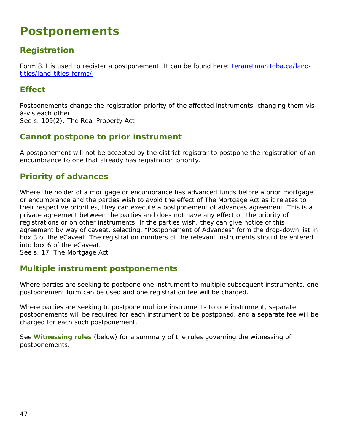# **Postponements**

# **Registration**

Form 8.1 is used to register a postponement. It can be found here: [teranetmanitoba.ca/land](http://teranetmanitoba.ca/land-titles/land-titles-forms/)[titles/land-titles-forms/](http://teranetmanitoba.ca/land-titles/land-titles-forms/) 

## **Effect**

Postponements change the registration priority of the affected instruments, changing them visà-vis each other. See s. 109(2), *The Real Property Act*

## **Cannot postpone to prior instrument**

A postponement will not be accepted by the district registrar to postpone the registration of an encumbrance to one that already has registration priority.

## **Priority of advances**

Where the holder of a mortgage or encumbrance has advanced funds before a prior mortgage or encumbrance and the parties wish to avoid the effect of *The Mortgage Act* as it relates to their respective priorities, they can execute a postponement of advances agreement. This is a private agreement between the parties and does not have any effect on the priority of registrations or on other instruments. If the parties wish, they can give notice of this agreement by way of caveat, selecting, "Postponement of Advances" form the drop-down list in box 3 of the eCaveat. The registration numbers of the relevant instruments should be entered into box 6 of the eCaveat.

See s. 17, *The Mortgage Act*

## **Multiple instrument postponements**

Where parties are seeking to postpone one instrument to multiple subsequent instruments, one postponement form can be used and one registration fee will be charged.

Where parties are seeking to postpone multiple instruments to one instrument, separate postponements will be required for each instrument to be postponed, and a separate fee will be charged for each such postponement.

See **Witnessing rules** (below) for a summary of the rules governing the witnessing of postponements.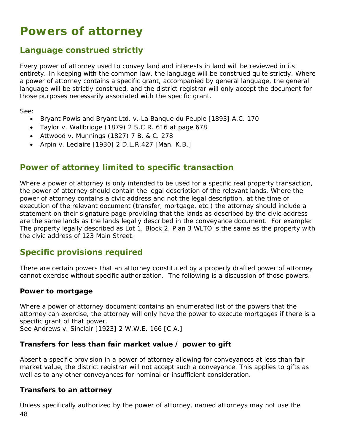# **Powers of attorney**

## **Language construed strictly**

Every power of attorney used to convey land and interests in land will be reviewed in its entirety. In keeping with the common law, the language will be construed quite strictly. Where a power of attorney contains a specific grant, accompanied by general language, the general language will be strictly construed, and the district registrar will only accept the document for those purposes necessarily associated with the specific grant.

See:

- Bryant Powis and Bryant Ltd. v. La Banque du Peuple [1893] A.C. 170
- Taylor v. Wallbridge (1879) 2 S.C.R. 616 at page 678
- Attwood v. Munnings (1827) 7 B. & C. 278
- Arpin v. Leclaire [1930] 2 D.L.R.427 [Man. K.B.]

## **Power of attorney limited to specific transaction**

Where a power of attorney is only intended to be used for a specific real property transaction, the power of attorney should contain the legal description of the relevant lands. Where the power of attorney contains a civic address and not the legal description, at the time of execution of the relevant document (transfer, mortgage, etc.) the attorney should include a statement on their signature page providing that the lands as described by the civic address are the same lands as the lands legally described in the conveyance document. For example: The property legally described as Lot 1, Block 2, Plan 3 WLTO is the same as the property with the civic address of 123 Main Street.

## **Specific provisions required**

There are certain powers that an attorney constituted by a properly drafted power of attorney cannot exercise without specific authorization. The following is a discussion of those powers.

#### **Power to mortgage**

Where a power of attorney document contains an enumerated list of the powers that the attorney can exercise, the attorney will only have the power to execute mortgages if there is a specific grant of that power.

See Andrews v. Sinclair [1923] 2 W.W.E. 166 [C.A.]

#### **Transfers for less than fair market value / power to gift**

Absent a specific provision in a power of attorney allowing for conveyances at less than fair market value, the district registrar will not accept such a conveyance. This applies to gifts as well as to any other conveyances for nominal or insufficient consideration.

#### **Transfers to an attorney**

48 Unless specifically authorized by the power of attorney, named attorneys may not use the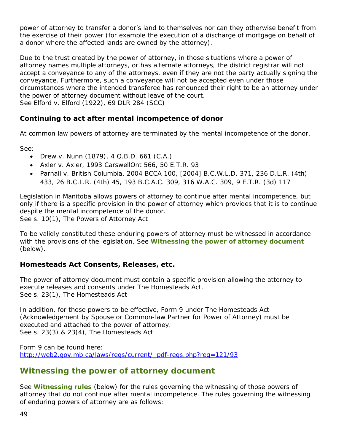power of attorney to transfer a donor's land to themselves nor can they otherwise benefit from the exercise of their power (for example the execution of a discharge of mortgage on behalf of a donor where the affected lands are owned by the attorney).

Due to the trust created by the power of attorney, in those situations where a power of attorney names multiple attorneys, or has alternate attorneys, the district registrar will not accept a conveyance to any of the attorneys, even if they are not the party actually signing the conveyance. Furthermore, such a conveyance will not be accepted even under those circumstances where the intended transferee has renounced their right to be an attorney under the power of attorney document without leave of the court. See Elford v. Elford (1922), 69 DLR 284 (SCC)

#### **Continuing to act after mental incompetence of donor**

At common law powers of attorney are terminated by the mental incompetence of the donor.

See:

- Drew v. Nunn (1879), 4 Q.B.D. 661 (C.A.)
- Axler v. Axler, 1993 CarswellOnt 566, 50 E.T.R. 93
- Parnall v. British Columbia, 2004 BCCA 100, [2004] B.C.W.L.D. 371, 236 D.L.R. (4th) 433, 26 B.C.L.R. (4th) 45, 193 B.C.A.C. 309, 316 W.A.C. 309, 9 E.T.R. (3d) 117

Legislation in Manitoba allows powers of attorney to continue after mental incompetence, but only if there is a specific provision in the power of attorney which provides that it is to continue despite the mental incompetence of the donor. See s. 10(1), *The Powers of Attorney Act*

To be validly constituted these enduring powers of attorney must be witnessed in accordance with the provisions of the legislation. See **Witnessing the power of attorney document** (below).

#### **Homesteads Act Consents, Releases, etc.**

The power of attorney document must contain a specific provision allowing the attorney to execute releases and consents under *The Homesteads Act*. See s. 23(1), The Homesteads Act

In addition, for those powers to be effective, Form 9 under *The Homesteads Act*  (Acknowledgement by Spouse or Common-law Partner for Power of Attorney) must be executed and attached to the power of attorney. See s. 23(3) & 23(4), *The Homesteads Act*

Form 9 can be found here: [http://web2.gov.mb.ca/laws/regs/current/\\_pdf-regs.php?reg=121/93](http://web2.gov.mb.ca/laws/regs/current/_pdf-regs.php?reg=121/93)

## **Witnessing the power of attorney document**

See **[Witnessing rules](#page-67-0)** (below) for the rules governing the witnessing of those powers of attorney that do not continue after mental incompetence. The rules governing the witnessing of enduring powers of attorney are as follows: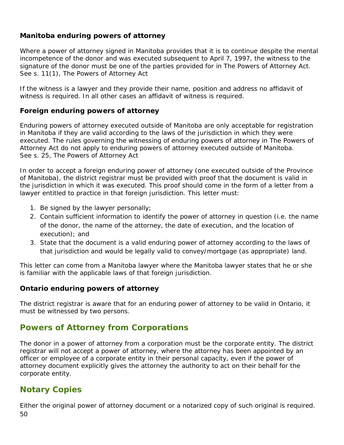#### **Manitoba enduring powers of attorney**

Where a power of attorney signed in Manitoba provides that it is to continue despite the mental incompetence of the donor and was executed subsequent to April 7, 1997, the witness to the signature of the donor must be one of the parties provided for in *The Powers of Attorney Act*. See s. 11(1), The Powers of Attorney Act

If the witness is a lawyer and they provide their name, position and address no affidavit of witness is required. In all other cases an affidavit of witness is required.

#### **Foreign enduring powers of attorney**

Enduring powers of attorney executed outside of Manitoba are only acceptable for registration in Manitoba if they are valid according to the laws of the jurisdiction in which they were executed. The rules governing the witnessing of enduring powers of attorney in *The Powers of Attorney Act* do not apply to enduring powers of attorney executed outside of Manitoba. See s. 25, The Powers of Attorney Act

In order to accept a foreign enduring power of attorney (one executed outside of the Province of Manitoba), the district registrar must be provided with proof that the document is valid in the jurisdiction in which it was executed. This proof should come in the form of a letter from a lawyer entitled to practice in that foreign jurisdiction. This letter must:

- 1. Be signed by the lawyer personally;
- 2. Contain sufficient information to identify the power of attorney in question (i.e. the name of the donor, the name of the attorney, the date of execution, and the location of execution); and
- 3. State that the document is a valid enduring power of attorney according to the laws of that jurisdiction and would be legally valid to convey/mortgage (as appropriate) land.

This letter can come from a Manitoba lawyer where the Manitoba lawyer states that he or she is familiar with the applicable laws of that foreign jurisdiction.

#### **Ontario enduring powers of attorney**

The district registrar is aware that for an enduring power of attorney to be valid in Ontario, it must be witnessed by two persons.

## **Powers of Attorney from Corporations**

The donor in a power of attorney from a corporation must be the corporate entity. The district registrar will not accept a power of attorney, where the attorney has been appointed by an officer or employee of a corporate entity in their personal capacity, even if the power of attorney document explicitly gives the attorney the authority to act on their behalf for the corporate entity.

## **Notary Copies**

50 Either the original power of attorney document or a notarized copy of such original is required.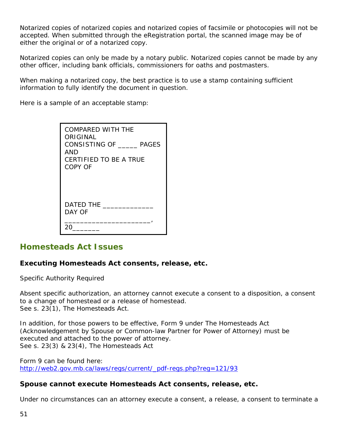Notarized copies of notarized copies and notarized copies of facsimile or photocopies will not be accepted. When submitted through the eRegistration portal, the scanned image may be of either the original or of a notarized copy.

Notarized copies can only be made by a notary public. Notarized copies cannot be made by any other officer, including bank officials, commissioners for oaths and postmasters.

When making a notarized copy, the best practice is to use a stamp containing sufficient information to fully identify the document in question.

Here is a sample of an acceptable stamp:

| <b>COMPARED WITH THE</b><br>ORIGINAL<br>CONSISTING OF PAGES<br>AND<br>CERTIFIED TO BE A TRUE<br>COPY OF |
|---------------------------------------------------------------------------------------------------------|
| DATED THE<br>DAY OF                                                                                     |
|                                                                                                         |

#### **Homesteads Act Issues**

### **Executing Homesteads Act consents, release, etc.**

*Specific Authority Required*

Absent specific authorization, an attorney cannot execute a consent to a disposition, a consent to a change of homestead or a release of homestead. See s. 23(1), *The Homesteads Act.*

In addition, for those powers to be effective, Form 9 under *The Homesteads Act*  (Acknowledgement by Spouse or Common-law Partner for Power of Attorney) must be executed and attached to the power of attorney. See s. 23(3) & 23(4), *The Homesteads Act*

Form 9 can be found here: [http://web2.gov.mb.ca/laws/regs/current/\\_pdf-regs.php?reg=121/93](http://web2.gov.mb.ca/laws/regs/current/_pdf-regs.php?reg=121/93)

#### **Spouse cannot execute Homesteads Act consents, release, etc.**

Under no circumstances can an attorney execute a consent, a release, a consent to terminate a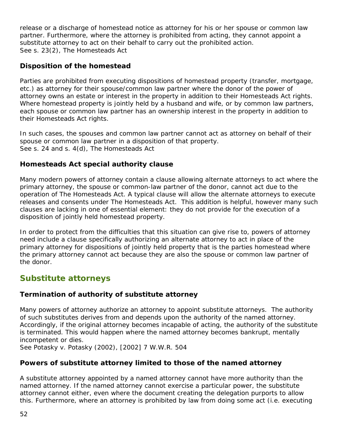release or a discharge of homestead notice as attorney for his or her spouse or common law partner. Furthermore, where the attorney is prohibited from acting, they cannot appoint a substitute attorney to act on their behalf to carry out the prohibited action. See s. 23(2), *The Homesteads Act*

### **Disposition of the homestead**

Parties are prohibited from executing dispositions of homestead property (transfer, mortgage, etc.) as attorney for their spouse/common law partner where the donor of the power of attorney owns an estate or interest in the property in addition to their *Homesteads Act* rights. Where homestead property is jointly held by a husband and wife, or by common law partners, each spouse or common law partner has an ownership interest in the property in addition to their *Homesteads Act* rights.

In such cases, the spouses and common law partner cannot act as attorney on behalf of their spouse or common law partner in a disposition of that property. See s. 24 and s. 4(d), *The Homesteads Act*

#### **Homesteads Act special authority clause**

Many modern powers of attorney contain a clause allowing alternate attorneys to act where the primary attorney, the spouse or common-law partner of the donor, cannot act due to the operation of *The Homesteads Act.* A typical clause will allow the alternate attorneys to execute releases and consents under *The Homesteads Act*. This addition is helpful, however many such clauses are lacking in one of essential element: they do not provide for the execution of a disposition of jointly held homestead property.

In order to protect from the difficulties that this situation can give rise to, powers of attorney need include a clause specifically authorizing an alternate attorney to act in place of the primary attorney for dispositions of jointly held property that is the parties homestead where the primary attorney cannot act because they are also the spouse or common law partner of the donor.

## **Substitute attorneys**

#### **Termination of authority of substitute attorney**

Many powers of attorney authorize an attorney to appoint substitute attorneys. The authority of such substitutes derives from and depends upon the authority of the named attorney. Accordingly, if the original attorney becomes incapable of acting, the authority of the substitute is terminated. This would happen where the named attorney becomes bankrupt, mentally incompetent or dies.

See Potasky v. Potasky (2002), [2002] 7 W.W.R. 504

## **Powers of substitute attorney limited to those of the named attorney**

A substitute attorney appointed by a named attorney cannot have more authority than the named attorney. If the named attorney cannot exercise a particular power, the substitute attorney cannot either, even where the document creating the delegation purports to allow this. Furthermore, where an attorney is prohibited by law from doing some act (i.e. executing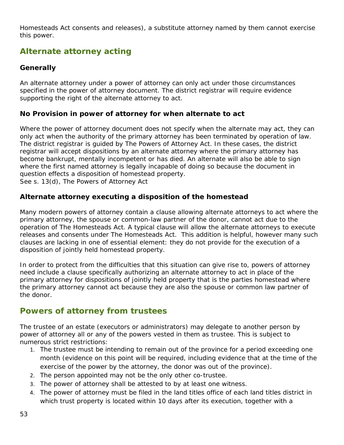*Homesteads Act* consents and releases), a substitute attorney named by them cannot exercise this power.

# **Alternate attorney acting**

#### **Generally**

An alternate attorney under a power of attorney can only act under those circumstances specified in the power of attorney document. The district registrar will require evidence supporting the right of the alternate attorney to act.

#### **No Provision in power of attorney for when alternate to act**

Where the power of attorney document does not specify when the alternate may act, they can only act when the authority of the primary attorney has been terminated by operation of law. The district registrar is guided by *The Powers of Attorney Act*. In these cases, the district registrar will accept dispositions by an alternate attorney where the primary attorney has become bankrupt, mentally incompetent or has died. An alternate will also be able to sign where the first named attorney is legally incapable of doing so because the document in question effects a disposition of homestead property. See s. 13(d), *The Powers of Attorney Act*

#### **Alternate attorney executing a disposition of the homestead**

Many modern powers of attorney contain a clause allowing alternate attorneys to act where the primary attorney, the spouse or common-law partner of the donor, cannot act due to the operation of The Homesteads Act. A typical clause will allow the alternate attorneys to execute releases and consents under The Homesteads Act. This addition is helpful, however many such clauses are lacking in one of essential element: they do not provide for the execution of a disposition of jointly held homestead property.

In order to protect from the difficulties that this situation can give rise to, powers of attorney need include a clause specifically authorizing an alternate attorney to act in place of the primary attorney for dispositions of jointly held property that is the parties homestead where the primary attorney cannot act because they are also the spouse or common law partner of the donor.

## **Powers of attorney from trustees**

The trustee of an estate (executors or administrators) may delegate to another person by power of attorney all or any of the powers vested in them as trustee. This is subject to numerous strict restrictions:

- 1. The trustee must be intending to remain out of the province for a period exceeding one month (evidence on this point will be required, including evidence that at the time of the exercise of the power by the attorney, the donor was out of the province).
- 2. The person appointed may not be the only other co-trustee.
- 3. The power of attorney shall be attested to by at least one witness.
- 4. The power of attorney must be filed in the land titles office of each land titles district in which trust property is located within 10 days after its execution, together with a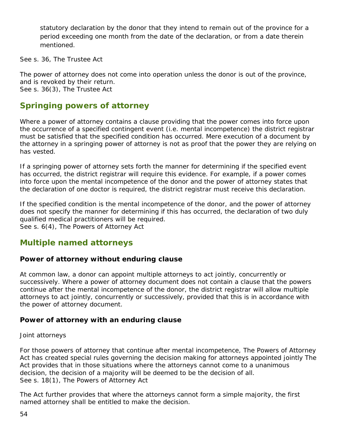statutory declaration by the donor that they intend to remain out of the province for a period exceeding one month from the date of the declaration, or from a date therein mentioned.

See s. 36, *The Trustee Act*

The power of attorney does not come into operation unless the donor is out of the province, and is revoked by their return. See s. 36(3), *The Trustee Act*

## **Springing powers of attorney**

Where a power of attorney contains a clause providing that the power comes into force upon the occurrence of a specified contingent event (i.e. mental incompetence) the district registrar must be satisfied that the specified condition has occurred. Mere execution of a document by the attorney in a springing power of attorney is not as proof that the power they are relying on has vested.

If a springing power of attorney sets forth the manner for determining if the specified event has occurred, the district registrar will require this evidence. For example, if a power comes into force upon the mental incompetence of the donor and the power of attorney states that the declaration of one doctor is required, the district registrar must receive this declaration.

If the specified condition is the mental incompetence of the donor, and the power of attorney does not specify the manner for determining if this has occurred, the declaration of two duly qualified medical practitioners will be required. See s. 6(4), The Powers of Attorney Act

## **Multiple named attorneys**

#### **Power of attorney without enduring clause**

At common law, a donor can appoint multiple attorneys to act jointly, concurrently or successively. Where a power of attorney document does not contain a clause that the powers continue after the mental incompetence of the donor, the district registrar will allow multiple attorneys to act jointly, concurrently or successively, provided that this is in accordance with the power of attorney document.

#### **Power of attorney with an enduring clause**

#### *Joint attorneys*

For those powers of attorney that continue after mental incompetence, *The Powers of Attorney Act* has created special rules governing the decision making for attorneys appointed jointly The Act provides that in those situations where the attorneys cannot come to a unanimous decision, the decision of a majority will be deemed to be the decision of all. See s. 18(1), *The Powers of Attorney Act*

The Act further provides that where the attorneys cannot form a simple majority, the first named attorney shall be entitled to make the decision.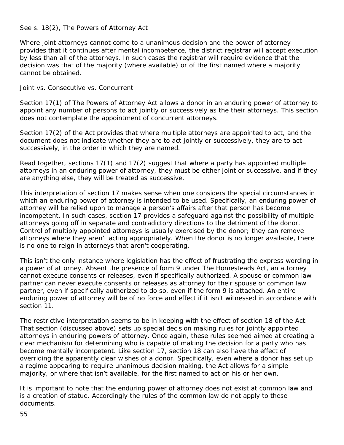#### See s. 18(2), *The Powers of Attorney Act*

Where joint attorneys cannot come to a unanimous decision and the power of attorney provides that it continues after mental incompetence, the district registrar will accept execution by less than all of the attorneys. In such cases the registrar will require evidence that the decision was that of the majority (where available) or of the first named where a majority cannot be obtained.

#### *Joint vs. Consecutive vs. Concurrent*

Section 17(1) of *The Powers of Attorney Act* allows a donor in an enduring power of attorney to appoint any number of persons to act jointly or successively as the their attorneys. This section does not contemplate the appointment of concurrent attorneys.

Section 17(2) of the Act provides that where multiple attorneys are appointed to act, and the document does not indicate whether they are to act jointly or successively, they are to act successively, in the order in which they are named.

Read together, sections 17(1) and 17(2) suggest that where a party has appointed multiple attorneys in an enduring power of attorney, they must be either joint or successive, and if they are anything else, they will be treated as successive.

This interpretation of section 17 makes sense when one considers the special circumstances in which an enduring power of attorney is intended to be used. Specifically, an enduring power of attorney will be relied upon to manage a person's affairs after that person has become incompetent. In such cases, section 17 provides a safeguard against the possibility of multiple attorneys going off in separate and contradictory directions to the detriment of the donor. Control of multiply appointed attorneys is usually exercised by the donor; they can remove attorneys where they aren't acting appropriately. When the donor is no longer available, there is no one to reign in attorneys that aren't cooperating.

This isn't the only instance where legislation has the effect of frustrating the express wording in a power of attorney. Absent the presence of form 9 under *The Homesteads Act*, an attorney cannot execute consents or releases, even if specifically authorized. A spouse or common law partner can never execute consents or releases as attorney for their spouse or common law partner, even if specifically authorized to do so, even if the form 9 is attached. An entire enduring power of attorney will be of no force and effect if it isn't witnessed in accordance with section 11.

The restrictive interpretation seems to be in keeping with the effect of section 18 of the Act. That section (discussed above) sets up special decision making rules for jointly appointed attorneys in enduring powers of attorney. Once again, these rules seemed aimed at creating a clear mechanism for determining who is capable of making the decision for a party who has become mentally incompetent. Like section 17, section 18 can also have the effect of overriding the apparently clear wishes of a donor. Specifically, even where a donor has set up a regime appearing to require unanimous decision making, the Act allows for a simple majority, or where that isn't available, for the first named to act on his or her own.

It is important to note that the enduring power of attorney does not exist at common law and is a creation of statue. Accordingly the rules of the common law do not apply to these documents.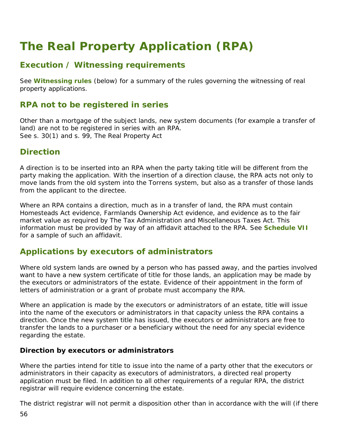# **The Real Property Application (RPA)**

## **Execution / Witnessing requirements**

See **Witnessing rules** (below) for a summary of the rules governing the witnessing of real property applications.

## **RPA not to be registered in series**

Other than a mortgage of the subject lands, new system documents (for example a transfer of land) are not to be registered in series with an RPA. See s. 30(1) and s. 99, *The Real Property Act*

## **Direction**

A direction is to be inserted into an RPA when the party taking title will be different from the party making the application. With the insertion of a direction clause, the RPA acts not only to move lands from the old system into the Torrens system, but also as a transfer of those lands from the applicant to the directee.

Where an RPA contains a direction, much as in a transfer of land, the RPA must contain *Homesteads Act* evidence*, Farmlands Ownership Act* evidence, and evidence as to the fair market value as required by *The Tax Administration and Miscellaneous Taxes Act*. This information must be provided by way of an affidavit attached to the RPA. See **Schedule VII** for a sample of such an affidavit.

## **Applications by executors of administrators**

Where old system lands are owned by a person who has passed away, and the parties involved want to have a new system certificate of title for those lands, an application may be made by the executors or administrators of the estate. Evidence of their appointment in the form of letters of administration or a grant of probate must accompany the RPA.

Where an application is made by the executors or administrators of an estate, title will issue into the name of the executors or administrators in that capacity unless the RPA contains a direction. Once the new system title has issued, the executors or administrators are free to transfer the lands to a purchaser or a beneficiary without the need for any special evidence regarding the estate.

#### **Direction by executors or administrators**

Where the parties intend for title to issue into the name of a party other that the executors or administrators in their capacity as executors of administrators, a directed real property application must be filed. In addition to all other requirements of a regular RPA, the district registrar will require evidence concerning the estate.

The district registrar will not permit a disposition other than in accordance with the will (if there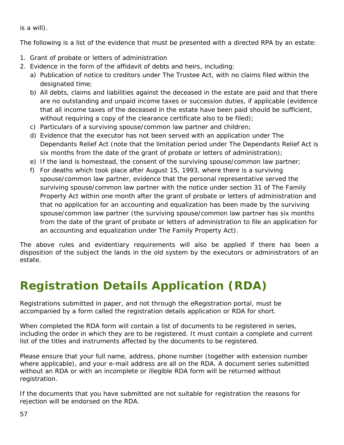is a will).

The following is a list of the evidence that must be presented with a directed RPA by an estate:

- 1. Grant of probate or letters of administration
- 2. Evidence in the form of the affidavit of debts and heirs, including:
	- a) Publication of notice to creditors under *The Trustee Act*, with no claims filed within the designated time;
	- b) All debts, claims and liabilities against the deceased in the estate are paid and that there are no outstanding and unpaid income taxes or succession duties, if applicable (evidence that all income taxes of the deceased in the estate have been paid should be sufficient, without requiring a copy of the clearance certificate also to be filed);
	- c) Particulars of a surviving spouse/common law partner and children;
	- d) Evidence that the executor has not been served with an application under *The Dependants Relief Act* (note that the limitation period under The *Dependants Relief Act* is six months from the date of the grant of probate or letters of administration);
	- e) If the land is homestead, the consent of the surviving spouse/common law partner;
	- f) For deaths which took place after August 15, 1993, where there is a surviving spouse/common law partner, evidence that the personal representative served the surviving spouse/common law partner with the notice under section 31 of *The Family Property Act* within one month after the grant of probate or letters of administration and that no application for an accounting and equalization has been made by the surviving spouse/common law partner (the surviving spouse/common law partner has six months from the date of the grant of probate or letters of administration to file an application for an accounting and equalization under *The Family Property Act*).

The above rules and evidentiary requirements will also be applied if there has been a disposition of the subject the lands in the old system by the executors or administrators of an estate.

# **Registration Details Application (RDA)**

Registrations submitted in paper, and not through the eRegistration portal, must be accompanied by a form called the registration details application or RDA for short.

When completed the RDA form will contain a list of documents to be registered in series, including the order in which they are to be registered. It must contain a complete and current list of the titles and instruments affected by the documents to be registered.

Please ensure that your full name, address, phone number (together with extension number where applicable), and your e-mail address are all on the RDA. A document series submitted without an RDA or with an incomplete or illegible RDA form will be returned without registration.

If the documents that you have submitted are not suitable for registration the reasons for rejection will be endorsed on the RDA.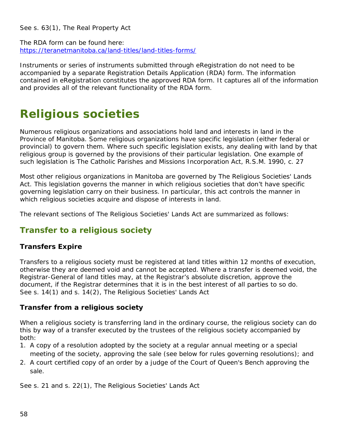See s. 63(1), *The Real Property Act*

The RDA form can be found here: <https://teranetmanitoba.ca/land-titles/land-titles-forms/>

Instruments or series of instruments submitted through eRegistration do not need to be accompanied by a separate Registration Details Application (RDA) form. The information contained in eRegistration constitutes the approved RDA form. It captures all of the information and provides all of the relevant functionality of the RDA form.

# **Religious societies**

Numerous religious organizations and associations hold land and interests in land in the Province of Manitoba. Some religious organizations have specific legislation (either federal or provincial) to govern them. Where such specific legislation exists, any dealing with land by that religious group is governed by the provisions of their particular legislation. One example of such legislation is *The Catholic Parishes and Missions Incorporation Act*, R.S.M. 1990, c. 27

Most other religious organizations in Manitoba are governed by *The Religious Societies' Lands Act*. This legislation governs the manner in which religious societies that don't have specific governing legislation carry on their business. In particular, this act controls the manner in which religious societies acquire and dispose of interests in land.

The relevant sections of *The Religious Societies' Lands Act* are summarized as follows:

## **Transfer to a religious society**

#### **Transfers Expire**

Transfers to a religious society must be registered at land titles within 12 months of execution, otherwise they are deemed void and cannot be accepted. Where a transfer is deemed void, the Registrar-General of land titles may, at the Registrar's absolute discretion, approve the document, if the Registrar determines that it is in the best interest of all parties to so do. See s. 14(1) and s. 14(2), *The Religious Societies' Lands Act*

#### **Transfer from a religious society**

When a religious society is transferring land in the ordinary course, the religious society can do this by way of a transfer executed by the trustees of the religious society accompanied by both:

- 1. A copy of a resolution adopted by the society at a regular annual meeting or a special meeting of the society, approving the sale (see below for rules governing resolutions); and
- 2. A court certified copy of an order by a judge of the Court of Queen's Bench approving the sale.

See s. 21 and s. 22(1), The Religious Societies' Lands Act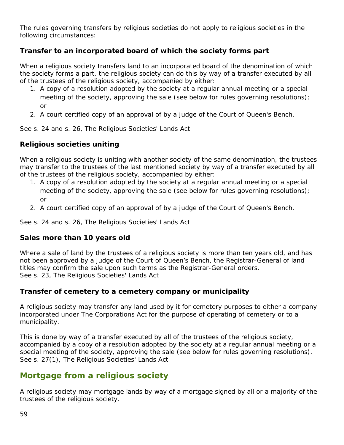The rules governing transfers by religious societies do not apply to religious societies in the following circumstances:

#### **Transfer to an incorporated board of which the society forms part**

When a religious society transfers land to an incorporated board of the denomination of which the society forms a part, the religious society can do this by way of a transfer executed by all of the trustees of the religious society, accompanied by either:

- 1. A copy of a resolution adopted by the society at a regular annual meeting or a special meeting of the society, approving the sale (see below for rules governing resolutions); or
- 2. A court certified copy of an approval of by a judge of the Court of Queen's Bench.

See s. 24 and s. 26, *The Religious Societies' Lands Act*

#### **Religious societies uniting**

When a religious society is uniting with another society of the same denomination, the trustees may transfer to the trustees of the last mentioned society by way of a transfer executed by all of the trustees of the religious society, accompanied by either:

- 1. A copy of a resolution adopted by the society at a regular annual meeting or a special meeting of the society, approving the sale (see below for rules governing resolutions); or
- 2. A court certified copy of an approval of by a judge of the Court of Queen's Bench.

See s. 24 and s. 26, *The Religious Societies' Lands Act*

#### **Sales more than 10 years old**

Where a sale of land by the trustees of a religious society is more than ten years old, and has not been approved by a judge of the Court of Queen's Bench, the Registrar-General of land titles may confirm the sale upon such terms as the Registrar-General orders. See s. 23, The Religious Societies' Lands Act

#### **Transfer of cemetery to a cemetery company or municipality**

A religious society may transfer any land used by it for cemetery purposes to either a company incorporated under *The Corporations Act* for the purpose of operating of cemetery or to a municipality.

This is done by way of a transfer executed by all of the trustees of the religious society, accompanied by a copy of a resolution adopted by the society at a regular annual meeting or a special meeting of the society, approving the sale (see below for rules governing resolutions). See s. 27(1), *The Religious Societies' Lands Act*

## **Mortgage from a religious society**

A religious society may mortgage lands by way of a mortgage signed by all or a majority of the trustees of the religious society.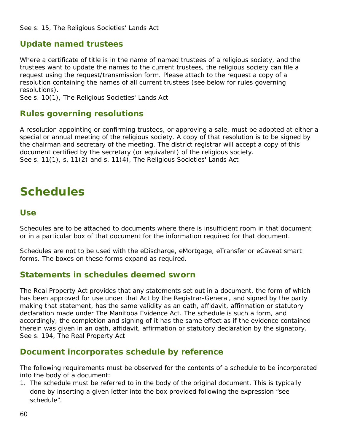## **Update named trustees**

Where a certificate of title is in the name of named trustees of a religious society, and the trustees want to update the names to the current trustees, the religious society can file a request using the request/transmission form. Please attach to the request a copy of a resolution containing the names of all current trustees (see below for rules governing resolutions).

See s. 10(1), *The Religious Societies' Lands Act*

## **Rules governing resolutions**

A resolution appointing or confirming trustees, or approving a sale, must be adopted at either a special or annual meeting of the religious society. A copy of that resolution is to be signed by the chairman and secretary of the meeting. The district registrar will accept a copy of this document certified by the secretary (or equivalent) of the religious society. See s. 11(1), s. 11(2) and s. 11(4), *The Religious Societies' Lands Act*

# **Schedules**

#### **Use**

Schedules are to be attached to documents where there is insufficient room in that document or in a particular box of that document for the information required for that document.

Schedules are not to be used with the eDischarge, eMortgage, eTransfer or eCaveat smart forms. The boxes on these forms expand as required.

#### **Statements in schedules deemed sworn**

*The Real Property Act* provides that any statements set out in a document, the form of which has been approved for use under that Act by the Registrar-General, and signed by the party making that statement, has the same validity as an oath, affidavit, affirmation or statutory declaration made under *The Manitoba Evidence Act*. The schedule is such a form, and accordingly, the completion and signing of it has the same effect as if the evidence contained therein was given in an oath, affidavit, affirmation or statutory declaration by the signatory. See s. 194, *The Real Property Act*

## **Document incorporates schedule by reference**

The following requirements must be observed for the contents of a schedule to be incorporated into the body of a document:

1. The schedule must be referred to in the body of the original document. This is typically done by inserting a given letter into the box provided following the expression "see schedule".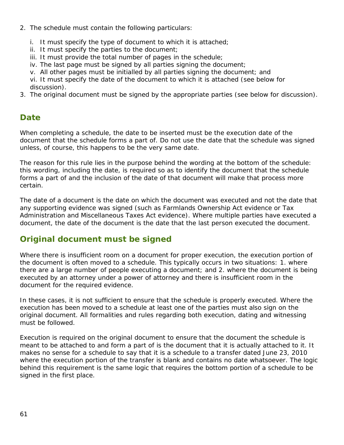- 2. The schedule must contain the following particulars:
	- i. It must specify the type of document to which it is attached;
	- ii. It must specify the parties to the document;
	- iii. It must provide the total number of pages in the schedule;
	- iv. The last page must be signed by all parties signing the document;
	- v. All other pages must be initialled by all parties signing the document; and

vi. It must specify the date of the document to which it is attached (see below for discussion).

3. The original document must be signed by the appropriate parties (see below for discussion).

# **Date**

When completing a schedule, the date to be inserted must be the execution date of the document that the schedule forms a part of. Do not use the date that the schedule was signed unless, of course, this happens to be the very same date.

The reason for this rule lies in the purpose behind the wording at the bottom of the schedule: this wording, including the date, is required so as to identify the document that the schedule forms a part of and the inclusion of the date of that document will make that process more certain.

The date of a document is the date on which the document was *executed* and not the date that any supporting evidence was signed (such as *Farmlands Ownership Act* evidence or *Tax Administration and Miscellaneous Taxes Act* evidence). Where multiple parties have executed a document, the date of the document is the date that the last person executed the document.

# **Original document must be signed**

Where there is insufficient room on a document for proper execution, the execution portion of the document is often moved to a schedule. This typically occurs in two situations: 1. where there are a large number of people executing a document; and 2. where the document is being executed by an attorney under a power of attorney and there is insufficient room in the document for the required evidence.

In these cases, it is not sufficient to ensure that the schedule is properly executed. Where the execution has been moved to a schedule at least one of the parties must also sign on the original document. All formalities and rules regarding both execution, dating and witnessing must be followed.

Execution is required on the original document to ensure that the document the schedule is meant to be attached to and form a part of is the document that it is actually attached to it. It makes no sense for a schedule to say that it is a schedule to a transfer dated June 23, 2010 where the execution portion of the transfer is blank and contains no date whatsoever. The logic behind this requirement is the same logic that requires the bottom portion of a schedule to be signed in the first place.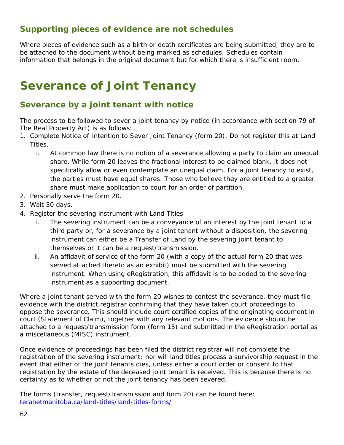## **Supporting pieces of evidence are not schedules**

Where pieces of evidence such as a birth or death certificates are being submitted, they are to be attached to the document without being marked as schedules. Schedules contain information that belongs in the original document but for which there is insufficient room.

# **Severance of Joint Tenancy**

## **Severance by a joint tenant with notice**

The process to be followed to sever a joint tenancy by notice (in accordance with section 79 of *The Real Property Act*) is as follows:

- 1. Complete Notice of Intention to Sever Joint Tenancy (form 20). Do not register this at Land Titles.
	- i. At common law there is no notion of a severance allowing a party to claim an unequal share. While form 20 leaves the fractional interest to be claimed blank, it does not specifically allow or even contemplate an unequal claim. For a joint tenancy to exist, the parties must have equal shares. Those who believe they are entitled to a greater share must make application to court for an order of partition.
- 2. Personally serve the form 20.
- 3. Wait 30 days.
- 4. Register the severing instrument with Land Titles
	- i. The severing instrument can be a conveyance of an interest by the joint tenant to a third party or, for a severance by a joint tenant without a disposition, the severing instrument can either be a Transfer of Land by the severing joint tenant to themselves or it can be a request/transmission.
	- ii. An affidavit of service of the form 20 (with a copy of the actual form 20 that was served attached thereto as an exhibit) must be submitted with the severing instrument. When using eRegistration, this affidavit is to be added to the severing instrument as a supporting document.

Where a joint tenant served with the form 20 wishes to contest the severance, they must file evidence with the district registrar confirming that they have taken court proceedings to oppose the severance. This should include court certified copies of the originating document in court (Statement of Claim), together with any relevant motions. The evidence should be attached to a request/transmission form (form 15) and submitted in the eRegistration portal as a miscellaneous (MISC) instrument.

Once evidence of proceedings has been filed the district registrar will not complete the registration of the severing instrument; nor will land titles process a survivorship request in the event that either of the joint tenants dies, unless either a court order or consent to that registration by the estate of the deceased joint tenant is received. This is because there is no certainty as to whether or not the joint tenancy has been severed.

The forms (transfer, request/transmission and form 20) can be found here: [teranetmanitoba.ca/land-titles/land-titles-forms/](http://teranetmanitoba.ca/land-titles/land-titles-forms/)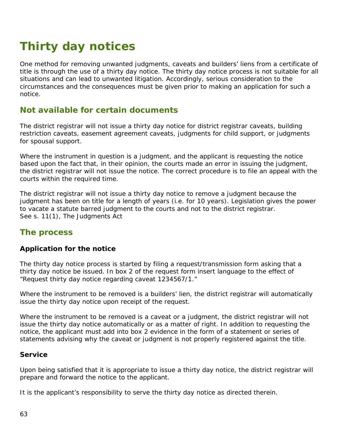# **Thirty day notices**

One method for removing unwanted judgments, caveats and builders' liens from a certificate of title is through the use of a thirty day notice. The thirty day notice process is not suitable for all situations and can lead to unwanted litigation. Accordingly, serious consideration to the circumstances and the consequences must be given prior to making an application for such a notice.

## **Not available for certain documents**

The district registrar will not issue a thirty day notice for district registrar caveats, building restriction caveats, easement agreement caveats, judgments for child support, or judgments for spousal support.

Where the instrument in question is a judgment, and the applicant is requesting the notice based upon the fact that, in their opinion, the courts made an error in issuing the judgment, the district registrar will not issue the notice. The correct procedure is to file an appeal with the courts within the required time.

The district registrar will not issue a thirty day notice to remove a judgment because the judgment has been on title for a length of years (i.e. for 10 years). Legislation gives the power to vacate a statute barred judgment to the courts and not to the district registrar. See s. 11(1), The Judgments Act

## **The process**

#### **Application for the notice**

The thirty day notice process is started by filing a request/transmission form asking that a thirty day notice be issued. In box 2 of the request form insert language to the effect of "Request thirty day notice regarding caveat 1234567/1."

Where the instrument to be removed is a builders' lien, the district registrar will automatically issue the thirty day notice upon receipt of the request.

Where the instrument to be removed is a caveat or a judgment, the district registrar will not issue the thirty day notice automatically or as a matter of right. In addition to requesting the notice, the applicant must add into box 2 evidence in the form of a statement or series of statements advising why the caveat or judgment is not properly registered against the title.

#### **Service**

Upon being satisfied that it is appropriate to issue a thirty day notice, the district registrar will prepare and forward the notice to the applicant.

It is the applicant's responsibility to serve the thirty day notice as directed therein.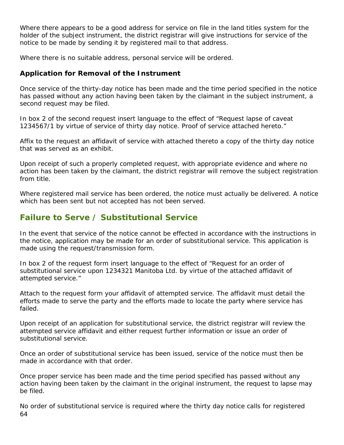Where there appears to be a good address for service on file in the land titles system for the holder of the subject instrument, the district registrar will give instructions for service of the notice to be made by sending it by registered mail to that address.

Where there is no suitable address, personal service will be ordered.

#### **Application for Removal of the Instrument**

Once service of the thirty-day notice has been made and the time period specified in the notice has passed without any action having been taken by the claimant in the subject instrument, a second request may be filed.

In box 2 of the second request insert language to the effect of "Request lapse of caveat 1234567/1 by virtue of service of thirty day notice. Proof of service attached hereto."

Affix to the request an affidavit of service with attached thereto a copy of the thirty day notice that was served as an exhibit.

Upon receipt of such a properly completed request, with appropriate evidence and where no action has been taken by the claimant, the district registrar will remove the subject registration from title.

Where registered mail service has been ordered, the notice must actually be delivered. A notice which has been sent but not accepted has not been served.

## **Failure to Serve / Substitutional Service**

In the event that service of the notice cannot be effected in accordance with the instructions in the notice, application may be made for an order of substitutional service. This application is made using the request/transmission form.

In box 2 of the request form insert language to the effect of "Request for an order of substitutional service upon 1234321 Manitoba Ltd. by virtue of the attached affidavit of attempted service."

Attach to the request form your affidavit of attempted service. The affidavit must detail the efforts made to serve the party and the efforts made to locate the party where service has failed.

Upon receipt of an application for substitutional service, the district registrar will review the attempted service affidavit and either request further information or issue an order of substitutional service.

Once an order of substitutional service has been issued, service of the notice must then be made in accordance with that order.

Once proper service has been made and the time period specified has passed without any action having been taken by the claimant in the original instrument, the request to lapse may be filed.

64 No order of substitutional service is required where the thirty day notice calls for registered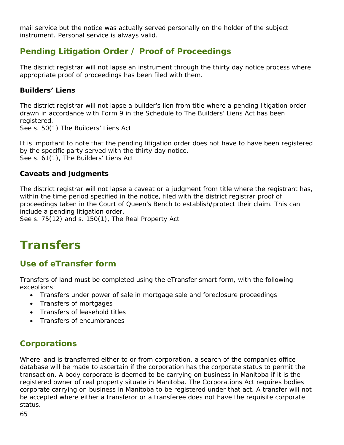mail service but the notice was actually served personally on the holder of the subject instrument. Personal service is always valid.

## **Pending Litigation Order / Proof of Proceedings**

The district registrar will not lapse an instrument through the thirty day notice process where appropriate proof of proceedings has been filed with them.

#### **Builders' Liens**

The district registrar will not lapse a builder's lien from title where a pending litigation order drawn in accordance with Form 9 in the Schedule to *The Builders' Liens Act* has been registered.

See s. 50(1) The Builders' Liens Act

It is important to note that the pending litigation order does not have to have been registered by the specific party served with the thirty day notice. See s. 61(1), The Builders' Liens Act

#### **Caveats and judgments**

The district registrar will not lapse a caveat or a judgment from title where the registrant has, within the time period specified in the notice, filed with the district registrar proof of proceedings taken in the Court of Queen's Bench to establish/protect their claim. This can include a pending litigation order.

See s. 75(12) and s. 150(1), *The Real Property Act*

# **Transfers**

## **Use of eTransfer form**

Transfers of land must be completed using the eTransfer smart form, with the following exceptions:

- Transfers under power of sale in mortgage sale and foreclosure proceedings
- Transfers of mortgages
- Transfers of leasehold titles
- Transfers of encumbrances

# **Corporations**

Where land is transferred either to or from corporation, a search of the companies office database will be made to ascertain if the corporation has the corporate status to permit the transaction. A body corporate is deemed to be carrying on business in Manitoba if it is the registered owner of real property situate in Manitoba. *The Corporations Act* requires bodies corporate carrying on business in Manitoba to be registered under that act. A transfer will not be accepted where either a transferor or a transferee does not have the requisite corporate status.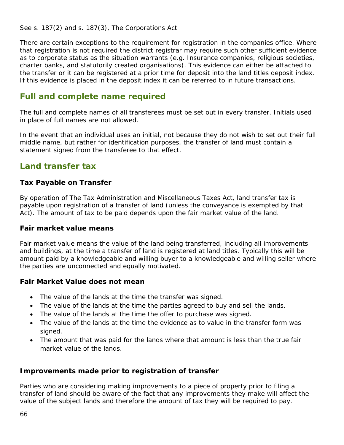See s. 187(2) and s. 187(3), *The Corporations Act*

There are certain exceptions to the requirement for registration in the companies office. Where that registration is not required the district registrar may require such other sufficient evidence as to corporate status as the situation warrants (e.g. Insurance companies, religious societies, charter banks, and statutorily created organisations). This evidence can either be attached to the transfer or it can be registered at a prior time for deposit into the land titles deposit index. If this evidence is placed in the deposit index it can be referred to in future transactions.

## **Full and complete name required**

The full and complete names of all transferees must be set out in every transfer. Initials used in place of full names are not allowed.

In the event that an individual uses an initial, not because they do not wish to set out their full middle name, but rather for identification purposes, the transfer of land must contain a statement signed from the transferee to that effect.

## **Land transfer tax**

#### **Tax Payable on Transfer**

By operation of *The Tax Administration and Miscellaneous Taxes Act*, land transfer tax is payable upon registration of a transfer of land (unless the conveyance is exempted by that Act). The amount of tax to be paid depends upon the fair market value of the land.

#### **Fair market value means**

Fair market value means the value of the land being transferred, including all improvements and buildings, at the time a transfer of land is registered at land titles. Typically this will be amount paid by a knowledgeable and willing buyer to a knowledgeable and willing seller where the parties are unconnected and equally motivated.

#### **Fair Market Value does not mean**

- The value of the lands at the time the transfer was signed.
- The value of the lands at the time the parties agreed to buy and sell the lands.
- The value of the lands at the time the offer to purchase was signed.
- The value of the lands at the time the evidence as to value in the transfer form was signed.
- The amount that was paid for the lands where that amount is less than the true fair market value of the lands.

#### **Improvements made prior to registration of transfer**

Parties who are considering making improvements to a piece of property prior to filing a transfer of land should be aware of the fact that any improvements they make will affect the value of the subject lands and therefore the amount of tax they will be required to pay.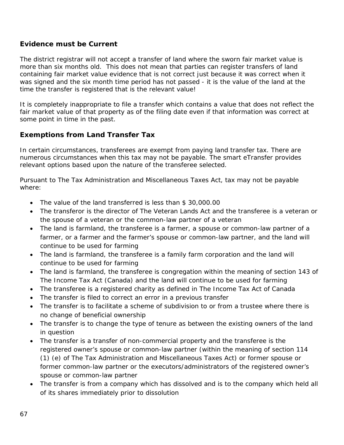#### **Evidence must be Current**

The district registrar will not accept a transfer of land where the sworn fair market value is more than six months old. This does not mean that parties can register transfers of land containing fair market value evidence that is not correct just because it was correct when it was signed and the six month time period has not passed - it is the value of the land at the time the transfer is registered that is the relevant value!

It is completely inappropriate to file a transfer which contains a value that does not reflect the fair market value of that property as of the filing date even if that information was correct at some point in time in the past.

#### **Exemptions from Land Transfer Tax**

In certain circumstances, transferees are exempt from paying land transfer tax. There are numerous circumstances when this tax may not be payable. The smart eTransfer provides relevant options based upon the nature of the transferee selected.

Pursuant to The Tax Administration and Miscellaneous Taxes Act, tax may not be payable where:

- The value of the land transferred is less than \$30,000.00
- The transferor is the director of *The Veteran Lands Act* and the transferee is a veteran or the spouse of a veteran or the common-law partner of a veteran
- The land is farmland, the transferee is a farmer, a spouse or common-law partner of a farmer, or a farmer and the farmer's spouse or common-law partner, and the land will continue to be used for farming
- The land is farmland, the transferee is a family farm corporation and the land will continue to be used for farming
- The land is farmland, the transferee is congregation within the meaning of section 143 of *The Income Tax Act* (Canada) and the land will continue to be used for farming
- The transferee is a registered charity as defined in *The Income Tax Act of Canada*
- The transfer is filed to correct an error in a previous transfer
- The transfer is to facilitate a scheme of subdivision to or from a trustee where there is no change of beneficial ownership
- The transfer is to change the type of tenure as between the existing owners of the land in question
- The transfer is a transfer of non-commercial property and the transferee is the registered owner's spouse or common-law partner (within the meaning of section 114 (1) (e) of *The Tax Administration and Miscellaneous Taxes Act*) or former spouse or former common-law partner or the executors/administrators of the registered owner's spouse or common-law partner
- The transfer is from a company which has dissolved and is to the company which held all of its shares immediately prior to dissolution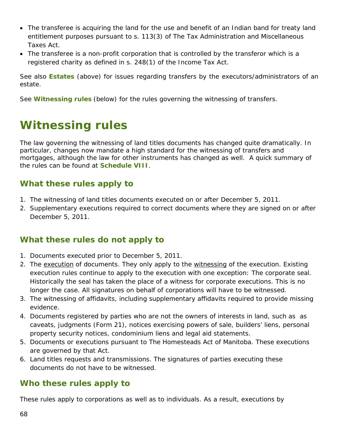- The transferee is acquiring the land for the use and benefit of an Indian band for treaty land entitlement purposes pursuant to s. 113(3) of The Tax Administration and Miscellaneous Taxes Act.
- The transferee is a non-profit corporation that is controlled by the transferor which is a registered charity as defined in s. 248(1) of the *Income Tax Act*.

See also **Estates** (above) for issues regarding transfers by the executors/administrators of an estate.

See **Witnessing rules** (below) for the rules governing the witnessing of transfers.

# <span id="page-67-0"></span>**Witnessing rules**

The law governing the witnessing of land titles documents has changed quite dramatically. In particular, changes now mandate a high standard for the witnessing of transfers and mortgages, although the law for other instruments has changed as well. A quick summary of the rules can be found at **Schedule VIII**.

# **What these rules apply to**

- 1. The witnessing of land titles documents executed on or after December 5, 2011.
- 2. Supplementary executions required to correct documents where they are signed on or after December 5, 2011.

## **What these rules do not apply to**

- 1. Documents executed prior to December 5, 2011.
- 2. The *execution* of documents. They only apply to the *witnessing* of the execution. Existing execution rules continue to apply to the execution with one exception: The corporate seal. Historically the seal has taken the place of a witness for corporate executions. This is no longer the case. All signatures on behalf of corporations will have to be witnessed.
- 3. The witnessing of affidavits, including supplementary affidavits required to provide missing evidence.
- 4. Documents registered by parties who are not the owners of interests in land, such as as caveats, judgments (Form 21), notices exercising powers of sale, builders' liens, personal property security notices, condominium liens and legal aid statements.
- 5. Documents or executions pursuant to *The Homesteads Act* of Manitoba. These executions are governed by that Act.
- 6. Land titles requests and transmissions. The signatures of parties executing these documents do not have to be witnessed.

## **Who these rules apply to**

These rules apply to corporations as well as to individuals. As a result, executions by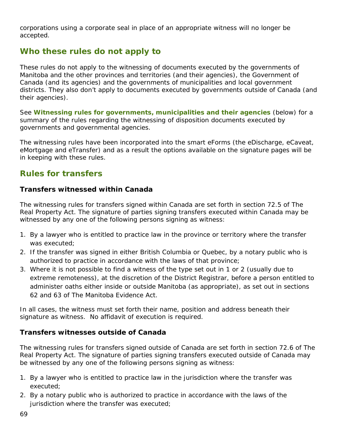corporations using a corporate seal in place of an appropriate witness will no longer be accepted.

## **Who these rules do not apply to**

These rules do not apply to the witnessing of documents executed by the governments of Manitoba and the other provinces and territories (and their agencies), the Government of Canada (and its agencies) and the governments of municipalities and local government districts. They also don't apply to documents executed by governments outside of Canada (and their agencies).

See **Witnessing rules for governments, municipalities and their agencies** (below) for a summary of the rules regarding the witnessing of disposition documents executed by governments and governmental agencies.

The witnessing rules have been incorporated into the smart eForms (the eDischarge, eCaveat, eMortgage and eTransfer) and as a result the options available on the signature pages will be in keeping with these rules.

## **Rules for transfers**

#### **Transfers witnessed within Canada**

The witnessing rules for transfers signed within Canada are set forth in section 72.5 of *The Real Property Act*. The signature of parties signing transfers executed within Canada may be witnessed by any one of the following persons signing as witness:

- 1. By a lawyer who is entitled to practice law in the province or territory where the transfer was executed;
- 2. If the transfer was signed in either British Columbia or Quebec, by a notary public who is authorized to practice in accordance with the laws of that province;
- 3. Where it is not possible to find a witness of the type set out in 1 or 2 (usually due to extreme remoteness), at the discretion of the District Registrar, before a person entitled to administer oaths either inside or outside Manitoba (as appropriate), as set out in sections 62 and 63 of *The Manitoba Evidence Act.*

In all cases, the witness must set forth their name, position and address beneath their signature as witness. No affidavit of execution is required.

#### **Transfers witnesses outside of Canada**

The witnessing rules for transfers signed outside of Canada are set forth in section 72.6 of *The Real Property Act*. The signature of parties signing transfers executed outside of Canada may be witnessed by any one of the following persons signing as witness:

- 1. By a lawyer who is entitled to practice law in the jurisdiction where the transfer was executed;
- 2. By a notary public who is authorized to practice in accordance with the laws of the jurisdiction where the transfer was executed;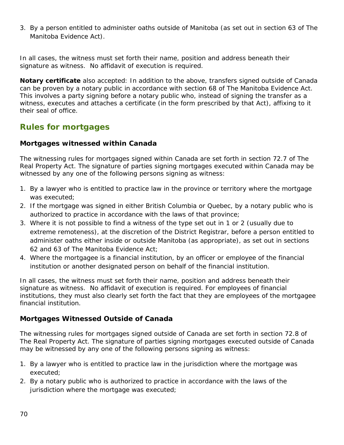3. By a person entitled to administer oaths outside of Manitoba (as set out in section 63 of *The Manitoba Evidence Act*).

In all cases, the witness must set forth their name, position and address beneath their signature as witness. No affidavit of execution is required.

**Notary certificate** also accepted: In addition to the above, transfers signed outside of Canada can be proven by a notary public in accordance with section 68 of *The Manitoba Evidence Act*. This involves a party signing before a notary public who, instead of signing the transfer as a witness, executes and attaches a certificate (in the form prescribed by that Act), affixing to it their seal of office.

## **Rules for mortgages**

#### **Mortgages witnessed within Canada**

The witnessing rules for mortgages signed within Canada are set forth in section 72.7 of *The Real Property Act*. The signature of parties signing mortgages executed within Canada may be witnessed by any one of the following persons signing as witness:

- 1. By a lawyer who is entitled to practice law in the province or territory where the mortgage was executed;
- 2. If the mortgage was signed in either British Columbia or Quebec, by a notary public who is authorized to practice in accordance with the laws of that province;
- 3. Where it is not possible to find a witness of the type set out in 1 or 2 (usually due to extreme remoteness), at the discretion of the District Registrar, before a person entitled to administer oaths either inside or outside Manitoba (as appropriate), as set out in sections 62 and 63 of *The Manitoba Evidence Act*;
- 4. Where the mortgagee is a financial institution, by an officer or employee of the financial institution or another designated person on behalf of the financial institution.

In all cases, the witness must set forth their name, position and address beneath their signature as witness. No affidavit of execution is required. For employees of financial institutions, they must also clearly set forth the fact that they are employees of the mortgagee financial institution.

#### **Mortgages Witnessed Outside of Canada**

The witnessing rules for mortgages signed outside of Canada are set forth in section 72.8 of *The Real Property Act*. The signature of parties signing mortgages executed outside of Canada may be witnessed by any one of the following persons signing as witness:

- 1. By a lawyer who is entitled to practice law in the jurisdiction where the mortgage was executed;
- 2. By a notary public who is authorized to practice in accordance with the laws of the jurisdiction where the mortgage was executed;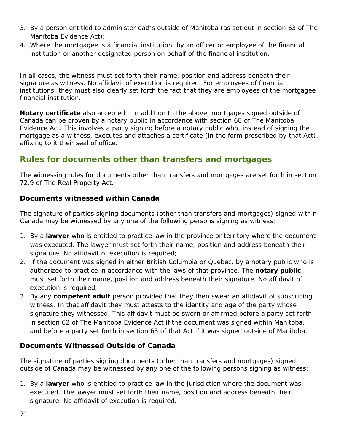- 3. By a person entitled to administer oaths outside of Manitoba (as set out in section 63 of *The Manitoba Evidence Act*);
- 4. Where the mortgagee is a financial institution, by an officer or employee of the financial institution or another designated person on behalf of the financial institution.

In all cases, the witness must set forth their name, position and address beneath their signature as witness. No affidavit of execution is required. For employees of financial institutions, they must also clearly set forth the fact that they are employees of the mortgagee financial institution.

**Notary certificate** also accepted: In addition to the above, mortgages signed outside of Canada can be proven by a notary public in accordance with section 68 of *The Manitoba Evidence Act*. This involves a party signing before a notary public who, instead of signing the mortgage as a witness, executes and attaches a certificate (in the form prescribed by that Act), affixing to it their seal of office.

## **Rules for documents other than transfers and mortgages**

The witnessing rules for documents other than transfers and mortgages are set forth in section 72.9 of *The Real Property Act*.

#### **Documents witnessed within Canada**

The signature of parties signing documents (other than transfers and mortgages) signed within Canada may be witnessed by any one of the following persons signing as witness:

- 1. By a **lawyer** who is entitled to practice law in the province or territory where the document was executed. The lawyer must set forth their name, position and address beneath their signature. No affidavit of execution is required;
- 2. If the document was signed in either British Columbia or Quebec, by a notary public who is authorized to practice in accordance with the laws of that province. The **notary public**  must set forth their name, position and address beneath their signature. No affidavit of execution is required;
- 3. By any **competent adult** person provided that they then swear an affidavit of subscribing witness. In that affidavit they must attests to the identity and age of the party whose signature they witnessed. This affidavit must be sworn or affirmed before a party set forth in section 62 of *The Manitoba Evidence Act* if the document was signed within Manitoba, and before a party set forth in section 63 of that Act if it was signed outside of Manitoba.

#### **Documents Witnessed Outside of Canada**

The signature of parties signing documents (other than transfers and mortgages) signed outside of Canada may be witnessed by any one of the following persons signing as witness:

1. By a **lawyer** who is entitled to practice law in the jurisdiction where the document was executed. The lawyer must set forth their name, position and address beneath their signature. No affidavit of execution is required;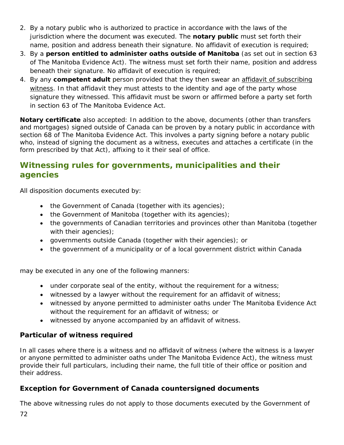- 2. By a notary public who is authorized to practice in accordance with the laws of the jurisdiction where the document was executed. The **notary public** must set forth their name, position and address beneath their signature. No affidavit of execution is required;
- 3. By a **person entitled to administer oaths outside of Manitoba** (as set out in section 63 of *The Manitoba Evidence Act*). The witness must set forth their name, position and address beneath their signature. No affidavit of execution is required;
- 4. By any **competent adult** person provided that they then swear an affidavit of subscribing witness. In that affidavit they must attests to the identity and age of the party whose signature they witnessed. This affidavit must be sworn or affirmed before a party set forth in section 63 of *The Manitoba Evidence Act*.

**Notary certificate** also accepted: In addition to the above, documents (other than transfers and mortgages) signed outside of Canada can be proven by a notary public in accordance with section 68 of *The Manitoba Evidence Act*. This involves a party signing before a notary public who, instead of signing the document as a witness, executes and attaches a certificate (in the form prescribed by that Act), affixing to it their seal of office.

## **Witnessing rules for governments, municipalities and their agencies**

All disposition documents executed by:

- the Government of Canada (together with its agencies);
- the Government of Manitoba (together with its agencies);
- the governments of Canadian territories and provinces other than Manitoba (together with their agencies);
- governments outside Canada (together with their agencies); or
- the government of a municipality or of a local government district within Canada

may be executed in any one of the following manners:

- under corporate seal of the entity, without the requirement for a witness;
- witnessed by a lawyer without the requirement for an affidavit of witness;
- witnessed by anyone permitted to administer oaths under *The Manitoba Evidence Act* without the requirement for an affidavit of witness; or
- witnessed by anyone accompanied by an affidavit of witness.

#### **Particular of witness required**

In all cases where there is a witness and no affidavit of witness (where the witness is a lawyer or anyone permitted to administer oaths under *The Manitoba Evidence Act*), the witness must provide their full particulars, including their name, the full title of their office or position and their address.

## **Exception for Government of Canada countersigned documents**

The above witnessing rules do not apply to those documents executed by the Government of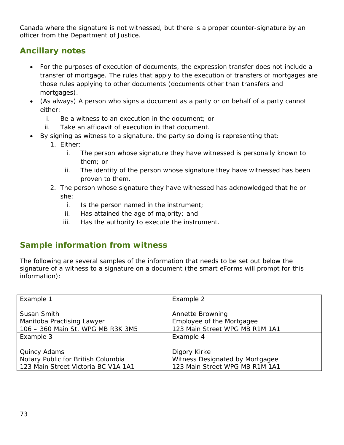Canada where the signature is not witnessed, but there is a proper counter-signature by an officer from the Department of Justice.

# **Ancillary notes**

- For the purposes of execution of documents, the expression *transfer* does not include a transfer of mortgage. The rules that apply to the execution of transfers of mortgages are those rules applying to other documents (documents other than transfers and mortgages).
- (As always) A person who signs a document as a party or on behalf of a party cannot either:
	- i. Be a witness to an execution in the document; or
	- ii. Take an affidavit of execution in that document.
- By signing as witness to a signature, the party so doing is representing that:
	- 1. Either:
		- i. The person whose signature they have witnessed is personally known to them; or
		- ii. The identity of the person whose signature they have witnessed has been proven to them.
	- 2. The person whose signature they have witnessed has acknowledged that he or she:
		- i. Is the person named in the instrument;
		- ii. Has attained the age of majority; and
		- iii. Has the authority to execute the instrument.

# **Sample information from witness**

The following are several samples of the information that needs to be set out below the signature of a witness to a signature on a document (the smart eForms will prompt for this information):

| Example 1                           | Example 2                       |
|-------------------------------------|---------------------------------|
|                                     |                                 |
| Susan Smith                         | Annette Browning                |
| Manitoba Practising Lawyer          | Employee of the Mortgagee       |
| 106 - 360 Main St. WPG MB R3K 3M5   | 123 Main Street WPG MB R1M 1A1  |
| Example 3                           | Example 4                       |
|                                     |                                 |
| Quincy Adams                        | Digory Kirke                    |
| Notary Public for British Columbia  | Witness Designated by Mortgagee |
| 123 Main Street Victoria BC V1A 1A1 | 123 Main Street WPG MB R1M 1A1  |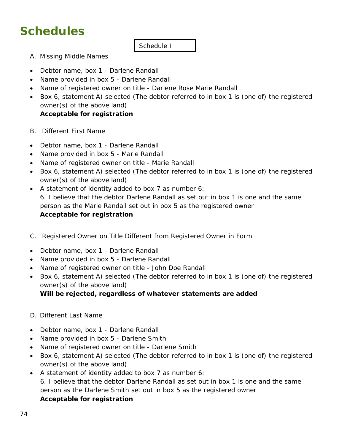# **Schedules**

### Schedule I

- A. Missing Middle Names
- Debtor name, box 1 Darlene Randall
- Name provided in box 5 Darlene Randall
- Name of registered owner on title Darlene Rose Marie Randall
- Box 6, statement A) selected (The debtor referred to in box 1 is (one of) the registered owner(s) of the above land)

### **Acceptable for registration**

- B. Different First Name
- Debtor name, box 1 Darlene Randall
- Name provided in box 5 Marie Randall
- Name of registered owner on title Marie Randall
- Box 6, statement A) selected (The debtor referred to in box 1 is (one of) the registered owner(s) of the above land)
- A statement of identity added to box 7 as number 6: 6. I believe that the debtor Darlene Randall as set out in box 1 is one and the same person as the Marie Randall set out in box 5 as the registered owner **Acceptable for registration**
- C. Registered Owner on Title Different from Registered Owner in Form
- Debtor name, box 1 Darlene Randall
- Name provided in box 5 Darlene Randall
- Name of registered owner on title John Doe Randall
- Box 6, statement A) selected (The debtor referred to in box 1 is (one of) the registered owner(s) of the above land)

### **Will be rejected, regardless of whatever statements are added**

- D. Different Last Name
- Debtor name, box 1 Darlene Randall
- Name provided in box 5 Darlene Smith
- Name of registered owner on title Darlene Smith
- Box 6, statement A) selected (The debtor referred to in box 1 is (one of) the registered owner(s) of the above land)
- A statement of identity added to box 7 as number 6: 6. I believe that the debtor Darlene Randall as set out in box 1 is one and the same person as the Darlene Smith set out in box 5 as the registered owner **Acceptable for registration**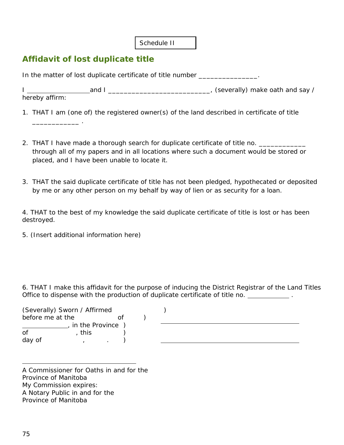Schedule II

# **Affidavit of lost duplicate title**

\_\_\_\_\_\_\_\_\_\_\_\_ .

In the matter of lost duplicate certificate of title number *\_\_\_\_\_\_\_\_\_\_\_\_\_\_\_.* 

I and I \_\_\_\_\_\_\_\_\_\_\_\_\_\_\_\_\_\_\_\_\_\_\_\_\_\_, (severally) make oath and say / hereby affirm:

1. THAT I am (one of) the registered owner(s) of the land described in certificate of title

- 2. THAT I have made a thorough search for duplicate certificate of title no. through all of my papers and in all locations where such a document would be stored or placed, and I have been unable to locate it.
- 3. THAT the said duplicate certificate of title has not been pledged, hypothecated or deposited by me or any other person on my behalf by way of lien or as security for a loan.

4. THAT to the best of my knowledge the said duplicate certificate of title is lost or has been destroyed.

5. (Insert additional information here)

6. THAT I make this affidavit for the purpose of inducing the District Registrar of the Land Titles Office to dispense with the production of duplicate certificate of title no. \_\_\_\_\_\_\_\_\_\_\_\_\_.

|                  | (Severally) Sworn / Affirmed |  |  |  |  |
|------------------|------------------------------|--|--|--|--|
| before me at the |                              |  |  |  |  |
|                  | in the Province              |  |  |  |  |
| Ωf               | this                         |  |  |  |  |
| day of           |                              |  |  |  |  |

A Commissioner for Oaths in and for the Province of Manitoba My Commission expires: A Notary Public in and for the Province of Manitoba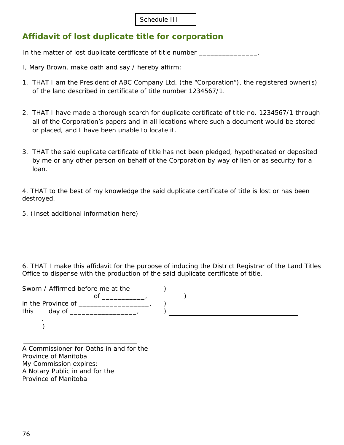Schedule III

# **Affidavit of lost duplicate title for corporation**

In the matter of lost duplicate certificate of title number *\_\_\_\_\_\_\_\_\_\_\_\_\_\_\_.* 

- I, Mary Brown, make oath and say / hereby affirm:
- 1. THAT I am the President of ABC Company Ltd. (the "Corporation"), the registered owner(s) of the land described in certificate of title number 1234567/1.
- 2. THAT I have made a thorough search for duplicate certificate of title no. 1234567/1 through all of the Corporation's papers and in all locations where such a document would be stored or placed, and I have been unable to locate it.
- 3. THAT the said duplicate certificate of title has not been pledged, hypothecated or deposited by me or any other person on behalf of the Corporation by way of lien or as security for a loan.

4. THAT to the best of my knowledge the said duplicate certificate of title is lost or has been destroyed.

5. (Inset additional information here)

6. THAT I make this affidavit for the purpose of inducing the District Registrar of the Land Titles Office to dispense with the production of the said duplicate certificate of title.

| Sworn / Affirmed before me at the            |  |
|----------------------------------------------|--|
|                                              |  |
| in the Province of _______<br>this<br>day of |  |
|                                              |  |

A Commissioner for Oaths in and for the Province of Manitoba My Commission expires: A Notary Public in and for the Province of Manitoba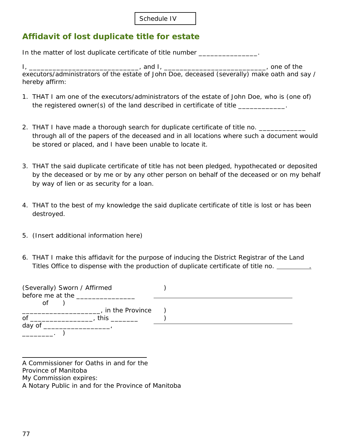# **Affidavit of lost duplicate title for estate**

In the matter of lost duplicate certificate of title number *\_\_\_\_\_\_\_\_\_\_\_\_\_\_\_.* 

I, \_\_\_\_\_\_\_\_\_\_\_\_\_\_\_\_\_\_\_\_\_\_\_\_\_\_\_\_\_\_\_\_, and I, \_\_\_\_\_\_\_\_\_\_\_\_\_\_\_\_\_\_\_\_\_\_\_\_\_\_\_\_\_\_\_\_, one of the executors/administrators of the estate of John Doe, deceased (severally) make oath and say / hereby affirm:

- 1. THAT I am one of the executors/administrators of the estate of John Doe, who is (one of) the registered owner(s) of the land described in certificate of title \_\_\_\_\_\_\_\_\_\_
- 2. THAT I have made a thorough search for duplicate certificate of title no. through all of the papers of the deceased and in all locations where such a document would be stored or placed, and I have been unable to locate it.
- 3. THAT the said duplicate certificate of title has not been pledged, hypothecated or deposited by the deceased or by me or by any other person on behalf of the deceased or on my behalf by way of lien or as security for a loan.
- 4. THAT to the best of my knowledge the said duplicate certificate of title is lost or has been destroyed.
- 5. (Insert additional information here)
- 6. THAT I make this affidavit for the purpose of inducing the District Registrar of the Land Titles Office to dispense with the production of duplicate certificate of title no. .

| (Severally) Sworn / Affirmed<br>before me at the |  |  |  |
|--------------------------------------------------|--|--|--|
| οf<br>in the Province                            |  |  |  |
| οf<br>this                                       |  |  |  |
| day of                                           |  |  |  |

A Commissioner for Oaths in and for the Province of Manitoba My Commission expires: A Notary Public in and for the Province of Manitoba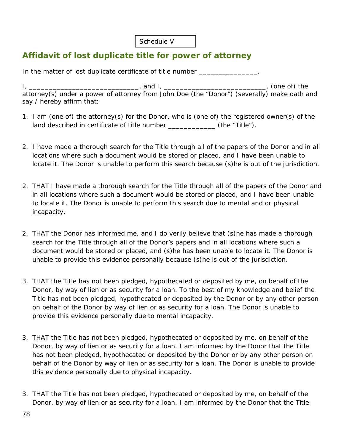Schedule V

# **Affidavit of lost duplicate title for power of attorney**

In the matter of lost duplicate certificate of title number *\_\_\_\_\_\_\_\_\_\_\_\_\_\_\_.* 

I, \_\_\_\_\_\_\_\_\_\_\_\_\_\_\_\_\_\_\_\_\_\_\_\_\_\_\_, and I, \_\_\_\_\_\_\_\_\_\_\_\_\_\_\_\_\_\_\_\_\_\_\_\_\_\_\_\_, (one of) the attorney(s) under a power of attorney from John Doe (the "Donor") (severally) make oath and say / hereby affirm that:

- 1. I am (one of) the attorney(s) for the Donor, who is (one of) the registered owner(s) of the land described in certificate of title number \_\_\_\_\_\_\_\_\_\_\_\_ (the "Title").
- 2. I have made a thorough search for the Title through all of the papers of the Donor and in all locations where such a document would be stored or placed, and I have been unable to locate it. The Donor is unable to perform this search because (s)he is out of the jurisdiction.
- 2. THAT I have made a thorough search for the Title through all of the papers of the Donor and in all locations where such a document would be stored or placed, and I have been unable to locate it. The Donor is unable to perform this search due to mental and or physical incapacity.
- 2. THAT the Donor has informed me, and I do verily believe that (s)he has made a thorough search for the Title through all of the Donor's papers and in all locations where such a document would be stored or placed, and (s)he has been unable to locate it. The Donor is unable to provide this evidence personally because (s)he is out of the jurisdiction.
- 3. THAT the Title has not been pledged, hypothecated or deposited by me, on behalf of the Donor, by way of lien or as security for a loan. To the best of my knowledge and belief the Title has not been pledged, hypothecated or deposited by the Donor or by any other person on behalf of the Donor by way of lien or as security for a loan. The Donor is unable to provide this evidence personally due to mental incapacity.
- 3. THAT the Title has not been pledged, hypothecated or deposited by me, on behalf of the Donor, by way of lien or as security for a loan. I am informed by the Donor that the Title has not been pledged, hypothecated or deposited by the Donor or by any other person on behalf of the Donor by way of lien or as security for a loan. The Donor is unable to provide this evidence personally due to physical incapacity.
- 3. THAT the Title has not been pledged, hypothecated or deposited by me, on behalf of the Donor, by way of lien or as security for a loan. I am informed by the Donor that the Title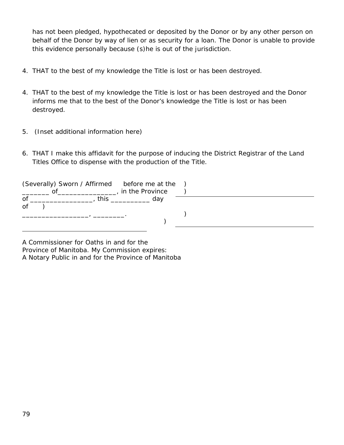has not been pledged, hypothecated or deposited by the Donor or by any other person on behalf of the Donor by way of lien or as security for a loan. The Donor is unable to provide this evidence personally because (s)he is out of the jurisdiction.

- 4. THAT to the best of my knowledge the Title is lost or has been destroyed.
- 4. THAT to the best of my knowledge the Title is lost or has been destroyed and the Donor informs me that to the best of the Donor's knowledge the Title is lost or has been destroyed.
- 5. (Inset additional information here)
- 6. THAT I make this affidavit for the purpose of inducing the District Registrar of the Land Titles Office to dispense with the production of the Title.

|    | (Severally) Sworn / Affirmed before me at the<br>ΩŤ | in the Province |  |  |
|----|-----------------------------------------------------|-----------------|--|--|
| of | this                                                | day             |  |  |
| Οf |                                                     |                 |  |  |
|    |                                                     |                 |  |  |
|    |                                                     |                 |  |  |

A Commissioner for Oaths in and for the Province of Manitoba. My Commission expires: A Notary Public in and for the Province of Manitoba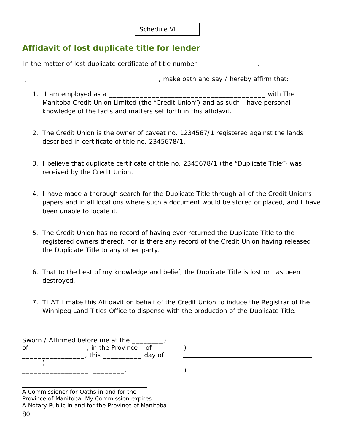| Schedule VI |  |
|-------------|--|
|             |  |

# **Affidavit of lost duplicate title for lender**

In the matter of lost duplicate certificate of title number *\_\_\_\_\_\_\_\_\_\_\_\_\_\_\_.* 

- I, \_\_\_\_\_\_\_\_\_\_\_\_\_\_\_\_\_\_\_\_\_\_\_\_\_\_\_\_\_\_\_\_\_, make oath and say / hereby affirm that:
	- 1. I am employed as a **All Equation Contract and Security** and Security and Security and Security and Security and Security and Security and Security and Security and Security and Security and Security and Security and Sec Manitoba Credit Union Limited (the "Credit Union") and as such I have personal knowledge of the facts and matters set forth in this affidavit.
	- 2. The Credit Union is the owner of caveat no. 1234567/1 registered against the lands described in certificate of title no. 2345678/1.
	- 3. I believe that duplicate certificate of title no. 2345678/1 (the "Duplicate Title") was received by the Credit Union.
	- 4. I have made a thorough search for the Duplicate Title through all of the Credit Union's papers and in all locations where such a document would be stored or placed, and I have been unable to locate it.
	- 5. The Credit Union has no record of having ever returned the Duplicate Title to the registered owners thereof, nor is there any record of the Credit Union having released the Duplicate Title to any other party.
	- 6. That to the best of my knowledge and belief, the Duplicate Title is lost or has been destroyed.
	- 7. THAT I make this Affidavit on behalf of the Credit Union to induce the Registrar of the Winnipeg Land Titles Office to dispense with the production of the Duplicate Title.

Sworn / Affirmed before me at the \_\_\_\_\_\_\_\_) of\_\_\_\_\_\_\_\_\_\_\_\_\_\_\_\_\_\_, in the Province of ) \_\_\_\_\_\_\_\_\_\_\_\_\_\_\_\_, this \_\_\_\_\_\_\_\_\_\_ day of  $\sum_{i=1}^{n}$ \_\_\_\_\_\_\_\_\_\_\_\_\_\_\_\_\_, \_\_\_\_\_\_\_\_. )

<sup>80</sup> A Commissioner for Oaths in and for the Province of Manitoba. My Commission expires: A Notary Public in and for the Province of Manitoba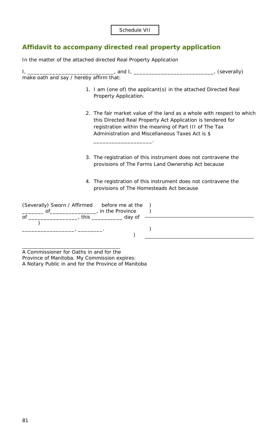# **Affidavit to accompany directed real property application**

|                                         | In the matter of the attached directed Real Property Application                                                                                                                                                                                   |                            |
|-----------------------------------------|----------------------------------------------------------------------------------------------------------------------------------------------------------------------------------------------------------------------------------------------------|----------------------------|
| make oath and say / hereby affirm that: |                                                                                                                                                                                                                                                    | <sub>-</sub> , (severally) |
|                                         | 1. I am (one of) the applicant(s) in the attached Directed Real<br>Property Application.                                                                                                                                                           |                            |
|                                         | 2. The fair market value of the land as a whole with respect to which<br>this Directed Real Property Act Application is tendered for<br>registration within the meaning of Part III of The Tax<br>Administration and Miscellaneous Taxes Act is \$ |                            |
|                                         | 3. The registration of this instrument does not contravene the                                                                                                                                                                                     |                            |

- provisions of *The Farms Land Ownership Act* because
- 4. The registration of this instrument does not contravene the provisions of *The Homesteads Act* because

| (Severally) Sworn / Affirmed<br>nτ | before me at the<br>in the Province |  |
|------------------------------------|-------------------------------------|--|
| this<br>of                         | day of                              |  |
|                                    |                                     |  |
|                                    |                                     |  |
|                                    |                                     |  |

A Commissioner for Oaths in and for the Province of Manitoba. My Commission expires: A Notary Public in and for the Province of Manitoba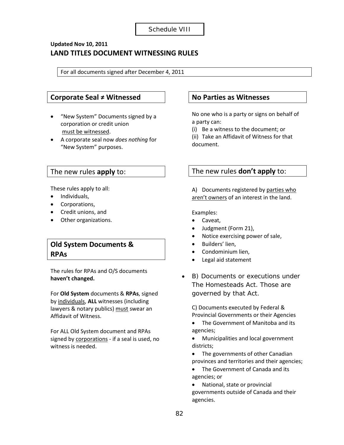### **Updated Nov 10, 2011 LAND TITLES DOCUMENT WITNESSING RULES**

For all documents signed after December 4, 2011

### **Corporate Seal ≠ Witnessed**

- "New System" Documents signed by a corporation or credit union must be witnessed.
- A corporate seal now *does nothing* for "New System" purposes.

### The new rules **apply** to:

These rules apply to all:

- Individuals,
- Corporations,
- Credit unions, and
- Other organizations.

## **Old System Documents & RPAs**

The rules for RPAs and O/S documents **haven't changed.**

For **Old System** documents & **RPAs**, signed by individuals, **ALL** witnesses (including lawyers & notary publics) must swear an Affidavit of Witness.

For ALL Old System document and RPAs signed by corporations - if a seal is used, no witness is needed.

### **No Parties as Witnesses**

No one who is a party or signs on behalf of a party can:

(i) Be a witness to the document; or

(ii) Take an Affidavit of Witness for that document.

### The new rules **don't apply** to:

A) Documents registered by parties who aren't owners of an interest in the land.

Examples:

- Caveat,
- Judgment (Form 21),
- Notice exercising power of sale,
- Builders' lien,
- Condominium lien,
- Legal aid statement
- B) Documents or executions under *The Homesteads Act*. Those are governed by that Act.

C) Documents executed by Federal & Provincial Governments or their Agencies

• The Government of Manitoba and its agencies;

• Municipalities and local government districts;

- The governments of other Canadian provinces and territories and their agencies;
- The Government of Canada and its agencies; or

• National, state or provincial

governments outside of Canada and their agencies.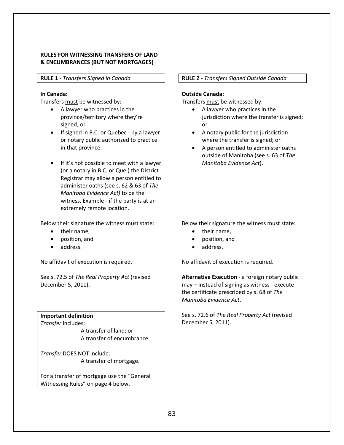#### **RULES FOR WITNESSING TRANSFERS OF LAND & ENCUMBRANCES (BUT NOT MORTGAGES)**

#### <span id="page-82-0"></span>**RULE 1** *- Transfers Signed in Canada*

#### **In Canada:**

Transfers must be witnessed by:

- A lawyer who practices in the province/territory where they're signed; or
- If signed in B.C. or Quebec by a lawyer or notary public authorized to practice in that province.
- If it's not possible to meet with a lawyer (or a notary in B.C. or Que.) the District Registrar may allow a person entitled to administer oaths (see s. 62 & 63 of *The Manitoba Evidence Act)* to be the witness. Example - if the party is at an extremely remote location.

Below their signature the witness must state:

- their name,
- position, and
- address.

No affidavit of execution is required.

See s. 72.5 of *The Real Property Act* (revised December 5, 2011).

**Important definition** *Transfer* includes:

> A transfer of land; or A transfer of encumbrance

*Transfer* DOES NOT include: A transfer of mortgage.

For a transfer of mortgage use the "General Witnessing Rules" on page 4 below.

#### <span id="page-82-1"></span>**RULE 2** *- Transfers Signed Outside Canada*

#### **Outside Canada:**

Transfers must be witnessed by:

- A lawyer who practices in the jurisdiction where the transfer is signed; or
- A notary public for the jurisdiction where the transfer is signed; or
- A person entitled to administer oaths outside of Manitoba (see s. 63 of *The Manitoba Evidence Act*).

Below their signature the witness must state:

- their name,
- position, and
- address.

No affidavit of execution is required.

**Alternative Execution** - a foreign notary public may – instead of signing as witness - execute the certificate prescribed by s. 68 of *The Manitoba Evidence Act*.

See s. 72.6 of *The Real Property Act* (revised December 5, 2011).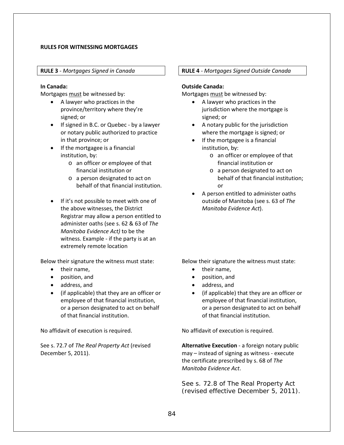#### **RULES FOR WITNESSING MORTGAGES**

<span id="page-83-0"></span>**RULE 3** *- Mortgages Signed in Canada*

#### **In Canada:**

Mortgages must be witnessed by:

- A lawyer who practices in the province/territory where they're signed; or
- If signed in B.C. or Quebec by a lawyer or notary public authorized to practice in that province; or
- If the mortgagee is a financial institution, by:
	- o an officer or employee of that financial institution or
	- o a person designated to act on behalf of that financial institution.
- If it's not possible to meet with one of the above witnesses, the District Registrar may allow a person entitled to administer oaths (see s. 62 & 63 of *The Manitoba Evidence Act)* to be the witness. Example - if the party is at an extremely remote location

Below their signature the witness must state:

- their name,
- position, and
- address, and
- (if applicable) that they are an officer or employee of that financial institution, or a person designated to act on behalf of that financial institution.

No affidavit of execution is required.

See s. 72.7 of *The Real Property Act* (revised December 5, 2011).

#### <span id="page-83-1"></span>**RULE 4** *- Mortgages Signed Outside Canada*

#### **Outside Canada:**

Mortgages must be witnessed by:

- A lawyer who practices in the jurisdiction where the mortgage is signed; or
- A notary public for the jurisdiction where the mortgage is signed; or
- If the mortgagee is a financial institution, by:
	- o an officer or employee of that financial institution or
	- o a person designated to act on behalf of that financial institution; or
- A person entitled to administer oaths outside of Manitoba (see s. 63 of *The Manitoba Evidence Act*).

Below their signature the witness must state:

- their name,
- position, and
- address, and
- (if applicable) that they are an officer or employee of that financial institution, or a person designated to act on behalf of that financial institution.

No affidavit of execution is required.

**Alternative Execution** - a foreign notary public may – instead of signing as witness - execute the certificate prescribed by s. 68 of *The Manitoba Evidence Act*.

See s. 72.8 of *The Real Property Act* (revised effective December 5, 2011).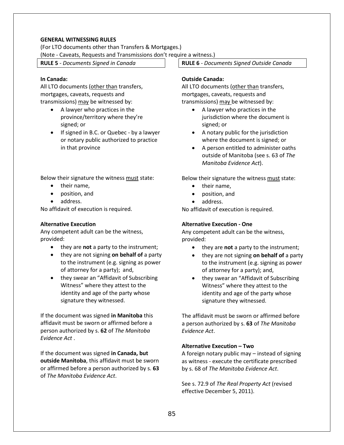#### **GENERAL WITNESSING RULES**

(For LTO documents other than Transfers & Mortgages.)

(Note - Caveats, Requests and Transmissions don't require a witness.)

<span id="page-84-0"></span>**RULE 5** *- Documents Signed in Canada*

#### **In Canada:**

All LTO documents (other than transfers, mortgages, caveats, requests and transmissions) may be witnessed by:

- A lawyer who practices in the province/territory where they're signed; or
- If signed in B.C. or Quebec by a lawyer or notary public authorized to practice in that province

Below their signature the witness must state:

- their name,
- position, and
- address.

No affidavit of execution is required.

#### **Alternative Execution**

Any competent adult can be the witness, provided:

- they are **not** a party to the instrument;
- they are not signing **on behalf of** a party to the instrument (e.g. signing as power of attorney for a party); and,
- they swear an "Affidavit of Subscribing Witness" where they attest to the identity and age of the party whose signature they witnessed.

If the document was signed **in Manitoba** this affidavit must be sworn or affirmed before a person authorized by s. **62** of *The Manitoba Evidence Act* .

If the document was signed **in Canada, but outside Manitoba**, this affidavit must be sworn or affirmed before a person authorized by s. **63** of *The Manitoba Evidence Act*.

<span id="page-84-1"></span>**RULE 6** *- Documents Signed Outside Canada*

#### **Outside Canada:**

All LTO documents (other than transfers, mortgages, caveats, requests and transmissions) may be witnessed by:

- A lawyer who practices in the jurisdiction where the document is signed; or
- A notary public for the jurisdiction where the document is signed; or
- A person entitled to administer oaths outside of Manitoba (see s. 63 of *The Manitoba Evidence Act*).

Below their signature the witness must state:

- their name,
- position, and
- address.

No affidavit of execution is required.

#### **Alternative Execution - One**

Any competent adult can be the witness, provided:

- they are **not** a party to the instrument;
- they are not signing **on behalf of** a party to the instrument (e.g. signing as power of attorney for a party); and,
- they swear an "Affidavit of Subscribing Witness" where they attest to the identity and age of the party whose signature they witnessed.

The affidavit must be sworn or affirmed before a person authorized by s. **63** of *The Manitoba Evidence Act*.

#### **Alternative Execution – Two**

A foreign notary public may – instead of signing as witness - execute the certificate prescribed by s. 68 of *The Manitoba Evidence Act*.

See s. 72.9 of *The Real Property Act* (revised effective December 5, 2011).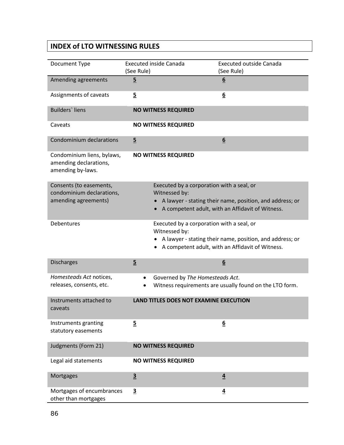# **INDEX of LTO WITNESSING RULES**

| Document Type                                                             | <b>Executed inside Canada</b><br>(See Rule) | <b>Executed outside Canada</b><br>(See Rule)                                                                                                              |
|---------------------------------------------------------------------------|---------------------------------------------|-----------------------------------------------------------------------------------------------------------------------------------------------------------|
| Amending agreements                                                       | $\overline{5}$                              | 6                                                                                                                                                         |
| Assignments of caveats                                                    | $\overline{5}$                              | $6 \overline{6}$                                                                                                                                          |
| <b>Builders</b> ' liens                                                   | <b>NO WITNESS REQUIRED</b>                  |                                                                                                                                                           |
| Caveats                                                                   | <b>NO WITNESS REQUIRED</b>                  |                                                                                                                                                           |
| Condominium declarations                                                  | $\overline{5}$                              | 6                                                                                                                                                         |
| Condominium liens, bylaws,<br>amending declarations,<br>amending by-laws. | <b>NO WITNESS REQUIRED</b>                  |                                                                                                                                                           |
| Consents (to easements,<br>condominium declarations,                      | Witnessed by:                               | Executed by a corporation with a seal, or                                                                                                                 |
| amending agreements)                                                      |                                             | A lawyer - stating their name, position, and address; or<br>A competent adult, with an Affidavit of Witness.                                              |
| Debentures                                                                | Witnessed by:                               | Executed by a corporation with a seal, or<br>A lawyer - stating their name, position, and address; or<br>A competent adult, with an Affidavit of Witness. |
| <b>Discharges</b>                                                         | $\overline{5}$                              | 6                                                                                                                                                         |
| Homesteads Act notices,<br>releases, consents, etc.                       |                                             | Governed by The Homesteads Act.<br>Witness requirements are usually found on the LTO form.                                                                |
| Instruments attached to<br>caveats                                        |                                             | <b>LAND TITLES DOES NOT EXAMINE EXECUTION</b>                                                                                                             |
| Instruments granting<br>statutory easements                               | $5\overline{)}$                             | <u>6</u>                                                                                                                                                  |
| Judgments (Form 21)                                                       | <b>NO WITNESS REQUIRED</b>                  |                                                                                                                                                           |
| Legal aid statements                                                      | <b>NO WITNESS REQUIRED</b>                  |                                                                                                                                                           |
| Mortgages                                                                 | $\overline{3}$                              | $\overline{4}$                                                                                                                                            |
| Mortgages of encumbrances<br>other than mortgages                         | $\overline{\mathbf{3}}$                     | $\overline{4}$                                                                                                                                            |